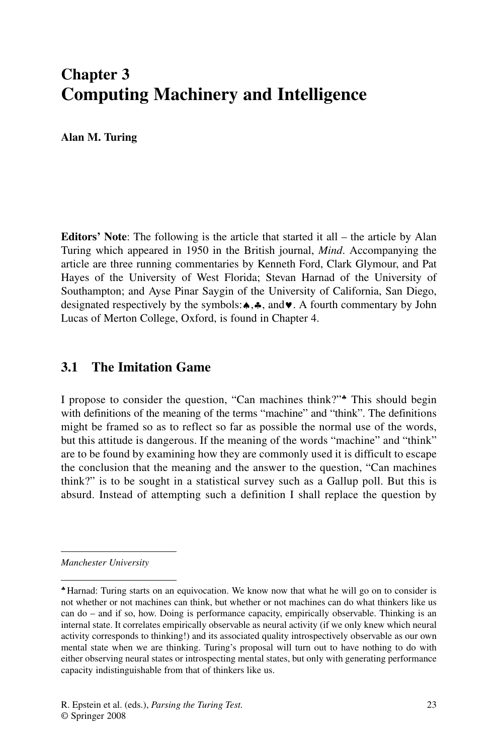# **Chapter 3 Computing Machinery and Intelligence**

**Alan M. Turing**

**Editors' Note**: The following is the article that started it all – the article by Alan Turing which appeared in 1950 in the British journal, *Mind*. Accompanying the article are three running commentaries by Kenneth Ford, Clark Glymour, and Pat Hayes of the University of West Florida; Stevan Harnad of the University of Southampton; and Ayse Pinar Saygin of the University of California, San Diego, designated respectively by the symbols:♠,♣, and♥. A fourth commentary by John Lucas of Merton College, Oxford, is found in Chapter 4.

# **3.1 The Imitation Game**

I propose to consider the question, "Can machines think?"♣ This should begin with definitions of the meaning of the terms "machine" and "think". The definitions might be framed so as to reflect so far as possible the normal use of the words, but this attitude is dangerous. If the meaning of the words "machine" and "think" are to be found by examining how they are commonly used it is difficult to escape the conclusion that the meaning and the answer to the question, "Can machines think?" is to be sought in a statistical survey such as a Gallup poll. But this is absurd. Instead of attempting such a definition I shall replace the question by

*Manchester University*

<sup>♣</sup> Harnad: Turing starts on an equivocation. We know now that what he will go on to consider is not whether or not machines can think, but whether or not machines can do what thinkers like us can do – and if so, how. Doing is performance capacity, empirically observable. Thinking is an internal state. It correlates empirically observable as neural activity (if we only knew which neural activity corresponds to thinking!) and its associated quality introspectively observable as our own mental state when we are thinking. Turing's proposal will turn out to have nothing to do with either observing neural states or introspecting mental states, but only with generating performance capacity indistinguishable from that of thinkers like us.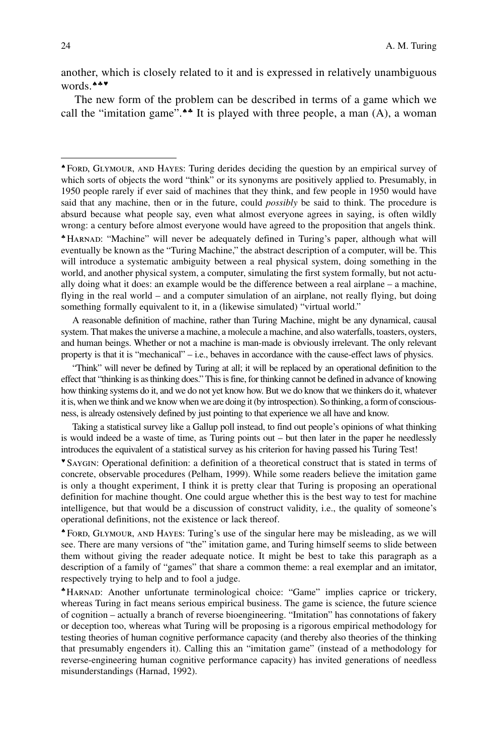another, which is closely related to it and is expressed in relatively unambiguous words.<sup>♦</sup>

The new form of the problem can be described in terms of a game which we call the "imitation game".<sup>◆◆</sup> It is played with three people, a man  $(A)$ , a woman

A reasonable definition of machine, rather than Turing Machine, might be any dynamical, causal system. That makes the universe a machine, a molecule a machine, and also waterfalls, toasters, oysters, and human beings. Whether or not a machine is man-made is obviously irrelevant. The only relevant property is that it is "mechanical" – i.e., behaves in accordance with the cause-effect laws of physics.

"Think" will never be defined by Turing at all; it will be replaced by an operational definition to the effect that "thinking is as thinking does." This is fine, for thinking cannot be defined in advance of knowing how thinking systems do it, and we do not yet know how. But we do know that we thinkers do it, whatever it is, when we think and we know when we are doing it (by introspection). So thinking, a form of consciousness, is already ostensively defined by just pointing to that experience we all have and know.

Taking a statistical survey like a Gallup poll instead, to find out people's opinions of what thinking is would indeed be a waste of time, as Turing points out – but then later in the paper he needlessly introduces the equivalent of a statistical survey as his criterion for having passed his Turing Test!

♠ Ford, Glymour, and Hayes: Turing's use of the singular here may be misleading, as we will see. There are many versions of "the" imitation game, and Turing himself seems to slide between them without giving the reader adequate notice. It might be best to take this paragraph as a description of a family of "games" that share a common theme: a real exemplar and an imitator, respectively trying to help and to fool a judge.

♣ Harnad: Another unfortunate terminological choice: "Game" implies caprice or trickery, whereas Turing in fact means serious empirical business. The game is science, the future science of cognition – actually a branch of reverse bioengineering. "Imitation" has connotations of fakery or deception too, whereas what Turing will be proposing is a rigorous empirical methodology for testing theories of human cognitive performance capacity (and thereby also theories of the thinking that presumably engenders it). Calling this an "imitation game" (instead of a methodology for reverse-engineering human cognitive performance capacity) has invited generations of needless misunderstandings (Harnad, 1992).

<sup>♠</sup> Ford, Glymour, and Hayes: Turing derides deciding the question by an empirical survey of which sorts of objects the word "think" or its synonyms are positively applied to. Presumably, in 1950 people rarely if ever said of machines that they think, and few people in 1950 would have said that any machine, then or in the future, could *possibly* be said to think. The procedure is absurd because what people say, even what almost everyone agrees in saying, is often wildly wrong: a century before almost everyone would have agreed to the proposition that angels think.

<sup>♣</sup> Harnad: "Machine" will never be adequately defined in Turing's paper, although what will eventually be known as the "Turing Machine," the abstract description of a computer, will be. This will introduce a systematic ambiguity between a real physical system, doing something in the world, and another physical system, a computer, simulating the first system formally, but not actually doing what it does: an example would be the difference between a real airplane – a machine, flying in the real world – and a computer simulation of an airplane, not really flying, but doing something formally equivalent to it, in a (likewise simulated) "virtual world."

<sup>♥</sup> Saygin: Operational definition: a definition of a theoretical construct that is stated in terms of concrete, observable procedures (Pelham, 1999). While some readers believe the imitation game is only a thought experiment, I think it is pretty clear that Turing is proposing an operational definition for machine thought. One could argue whether this is the best way to test for machine intelligence, but that would be a discussion of construct validity, i.e., the quality of someone's operational definitions, not the existence or lack thereof.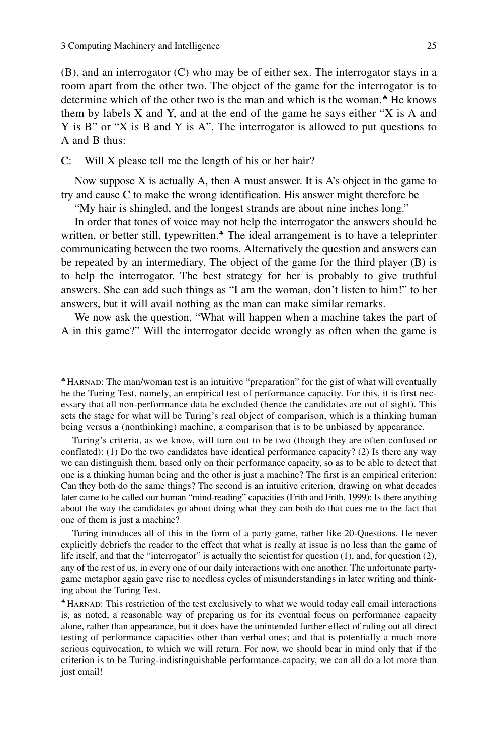(B), and an interrogator (C) who may be of either sex. The interrogator stays in a room apart from the other two. The object of the game for the interrogator is to determine which of the other two is the man and which is the woman.<sup>★</sup> He knows them by labels  $X$  and  $Y$ , and at the end of the game he says either " $X$  is  $A$  and Y is B" or "X is B and Y is A". The interrogator is allowed to put questions to A and B thus:

#### C: Will X please tell me the length of his or her hair?

Now suppose  $X$  is actually  $A$ , then  $A$  must answer. It is  $A$ 's object in the game to try and cause C to make the wrong identification. His answer might therefore be

"My hair is shingled, and the longest strands are about nine inches long."

In order that tones of voice may not help the interrogator the answers should be written, or better still, typewritten.<sup>★</sup> The ideal arrangement is to have a teleprinter communicating between the two rooms. Alternatively the question and answers can be repeated by an intermediary. The object of the game for the third player (B) is to help the interrogator. The best strategy for her is probably to give truthful answers. She can add such things as "I am the woman, don't listen to him!" to her answers, but it will avail nothing as the man can make similar remarks.

We now ask the question, "What will happen when a machine takes the part of A in this game?" Will the interrogator decide wrongly as often when the game is

<sup>♣</sup> Harnad: The man/woman test is an intuitive "preparation" for the gist of what will eventually be the Turing Test, namely, an empirical test of performance capacity. For this, it is first necessary that all non-performance data be excluded (hence the candidates are out of sight). This sets the stage for what will be Turing's real object of comparison, which is a thinking human being versus a (nonthinking) machine, a comparison that is to be unbiased by appearance.

Turing's criteria, as we know, will turn out to be two (though they are often confused or conflated): (1) Do the two candidates have identical performance capacity? (2) Is there any way we can distinguish them, based only on their performance capacity, so as to be able to detect that one is a thinking human being and the other is just a machine? The first is an empirical criterion: Can they both do the same things? The second is an intuitive criterion, drawing on what decades later came to be called our human "mind-reading" capacities (Frith and Frith, 1999): Is there anything about the way the candidates go about doing what they can both do that cues me to the fact that one of them is just a machine?

Turing introduces all of this in the form of a party game, rather like 20-Questions. He never explicitly debriefs the reader to the effect that what is really at issue is no less than the game of life itself, and that the "interrogator" is actually the scientist for question (1), and, for question (2), any of the rest of us, in every one of our daily interactions with one another. The unfortunate partygame metaphor again gave rise to needless cycles of misunderstandings in later writing and thinking about the Turing Test.

<sup>♣</sup> Harnad: This restriction of the test exclusively to what we would today call email interactions is, as noted, a reasonable way of preparing us for its eventual focus on performance capacity alone, rather than appearance, but it does have the unintended further effect of ruling out all direct testing of performance capacities other than verbal ones; and that is potentially a much more serious equivocation, to which we will return. For now, we should bear in mind only that if the criterion is to be Turing-indistinguishable performance-capacity, we can all do a lot more than just email!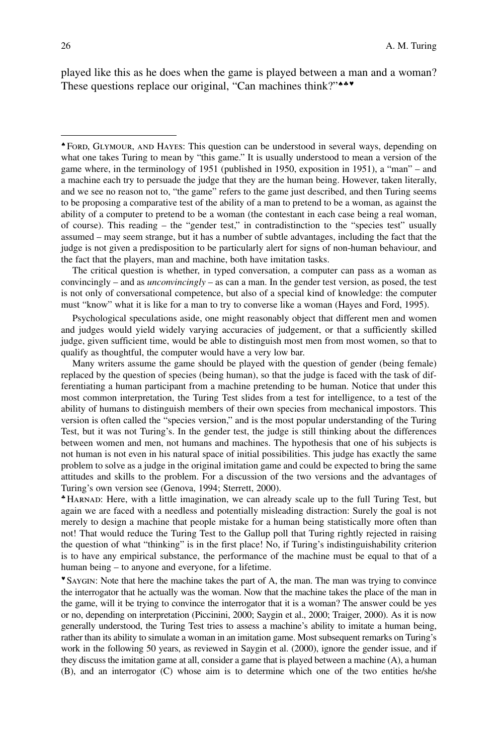played like this as he does when the game is played between a man and a woman? These questions replace our original, "Can machines think?"♠♣♥

The critical question is whether, in typed conversation, a computer can pass as a woman as convincingly – and as *unconvincingly* – as can a man. In the gender test version, as posed, the test is not only of conversational competence, but also of a special kind of knowledge: the computer must "know" what it is like for a man to try to converse like a woman (Hayes and Ford, 1995).

Psychological speculations aside, one might reasonably object that different men and women and judges would yield widely varying accuracies of judgement, or that a sufficiently skilled judge, given sufficient time, would be able to distinguish most men from most women, so that to qualify as thoughtful, the computer would have a very low bar.

Many writers assume the game should be played with the question of gender (being female) replaced by the question of species (being human), so that the judge is faced with the task of differentiating a human participant from a machine pretending to be human. Notice that under this most common interpretation, the Turing Test slides from a test for intelligence, to a test of the ability of humans to distinguish members of their own species from mechanical impostors. This version is often called the "species version," and is the most popular understanding of the Turing Test, but it was not Turing's. In the gender test, the judge is still thinking about the differences between women and men, not humans and machines. The hypothesis that one of his subjects is not human is not even in his natural space of initial possibilities. This judge has exactly the same problem to solve as a judge in the original imitation game and could be expected to bring the same attitudes and skills to the problem. For a discussion of the two versions and the advantages of Turing's own version see (Genova, 1994; Sterrett, 2000).

♣ Harnad: Here, with a little imagination, we can already scale up to the full Turing Test, but again we are faced with a needless and potentially misleading distraction: Surely the goal is not merely to design a machine that people mistake for a human being statistically more often than not! That would reduce the Turing Test to the Gallup poll that Turing rightly rejected in raising the question of what "thinking" is in the first place! No, if Turing's indistinguishability criterion is to have any empirical substance, the performance of the machine must be equal to that of a human being – to anyone and everyone, for a lifetime.

♥ Saygin: Note that here the machine takes the part of A, the man. The man was trying to convince the interrogator that he actually was the woman. Now that the machine takes the place of the man in the game, will it be trying to convince the interrogator that it is a woman? The answer could be yes or no, depending on interpretation (Piccinini, 2000; Saygin et al., 2000; Traiger, 2000). As it is now generally understood, the Turing Test tries to assess a machine's ability to imitate a human being, rather than its ability to simulate a woman in an imitation game. Most subsequent remarks on Turing's work in the following 50 years, as reviewed in Saygin et al. (2000), ignore the gender issue, and if they discuss the imitation game at all, consider a game that is played between a machine (A), a human (B), and an interrogator (C) whose aim is to determine which one of the two entities he/she

<sup>♠</sup> Ford, Glymour, and Hayes: This question can be understood in several ways, depending on what one takes Turing to mean by "this game." It is usually understood to mean a version of the game where, in the terminology of 1951 (published in 1950, exposition in 1951), a "man" – and a machine each try to persuade the judge that they are the human being. However, taken literally, and we see no reason not to, "the game" refers to the game just described, and then Turing seems to be proposing a comparative test of the ability of a man to pretend to be a woman, as against the ability of a computer to pretend to be a woman (the contestant in each case being a real woman, of course). This reading – the "gender test," in contradistinction to the "species test" usually assumed – may seem strange, but it has a number of subtle advantages, including the fact that the judge is not given a predisposition to be particularly alert for signs of non-human behaviour, and the fact that the players, man and machine, both have imitation tasks.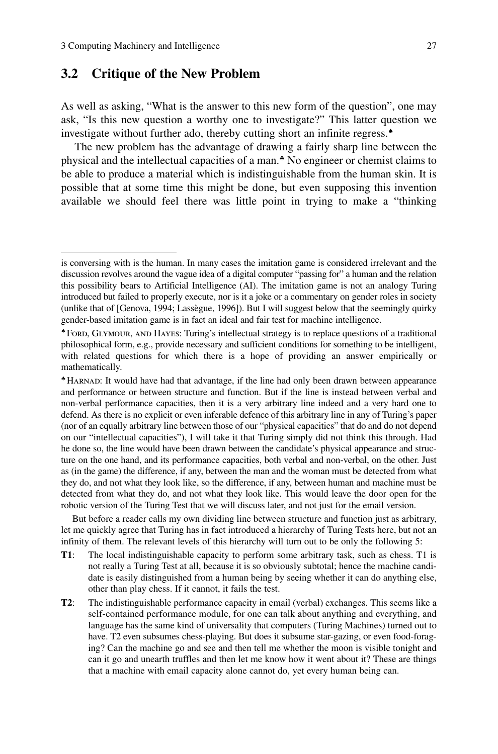#### **3.2 Critique of the New Problem**

As well as asking, "What is the answer to this new form of the question", one may ask, "Is this new question a worthy one to investigate?" This latter question we investigate without further ado, thereby cutting short an infinite regress.♠

The new problem has the advantage of drawing a fairly sharp line between the physical and the intellectual capacities of a man.♣ No engineer or chemist claims to be able to produce a material which is indistinguishable from the human skin. It is possible that at some time this might be done, but even supposing this invention available we should feel there was little point in trying to make a "thinking

But before a reader calls my own dividing line between structure and function just as arbitrary, let me quickly agree that Turing has in fact introduced a hierarchy of Turing Tests here, but not an infinity of them. The relevant levels of this hierarchy will turn out to be only the following 5:

- **T1**: The local indistinguishable capacity to perform some arbitrary task, such as chess. T1 is not really a Turing Test at all, because it is so obviously subtotal; hence the machine candidate is easily distinguished from a human being by seeing whether it can do anything else, other than play chess. If it cannot, it fails the test.
- **T2**: The indistinguishable performance capacity in email (verbal) exchanges. This seems like a self-contained performance module, for one can talk about anything and everything, and language has the same kind of universality that computers (Turing Machines) turned out to have. T2 even subsumes chess-playing. But does it subsume star-gazing, or even food-foraging? Can the machine go and see and then tell me whether the moon is visible tonight and can it go and unearth truffles and then let me know how it went about it? These are things that a machine with email capacity alone cannot do, yet every human being can.

is conversing with is the human. In many cases the imitation game is considered irrelevant and the discussion revolves around the vague idea of a digital computer "passing for" a human and the relation this possibility bears to Artificial Intelligence (AI). The imitation game is not an analogy Turing introduced but failed to properly execute, nor is it a joke or a commentary on gender roles in society (unlike that of [Genova, 1994; Lassègue, 1996]). But I will suggest below that the seemingly quirky gender-based imitation game is in fact an ideal and fair test for machine intelligence.

<sup>♠</sup> Ford, Glymour, and Hayes: Turing's intellectual strategy is to replace questions of a traditional philosophical form, e.g., provide necessary and sufficient conditions for something to be intelligent, with related questions for which there is a hope of providing an answer empirically or mathematically.

<sup>♣</sup> Harnad: It would have had that advantage, if the line had only been drawn between appearance and performance or between structure and function. But if the line is instead between verbal and non-verbal performance capacities, then it is a very arbitrary line indeed and a very hard one to defend. As there is no explicit or even inferable defence of this arbitrary line in any of Turing's paper (nor of an equally arbitrary line between those of our "physical capacities" that do and do not depend on our "intellectual capacities"), I will take it that Turing simply did not think this through. Had he done so, the line would have been drawn between the candidate's physical appearance and structure on the one hand, and its performance capacities, both verbal and non-verbal, on the other. Just as (in the game) the difference, if any, between the man and the woman must be detected from what they do, and not what they look like, so the difference, if any, between human and machine must be detected from what they do, and not what they look like. This would leave the door open for the robotic version of the Turing Test that we will discuss later, and not just for the email version.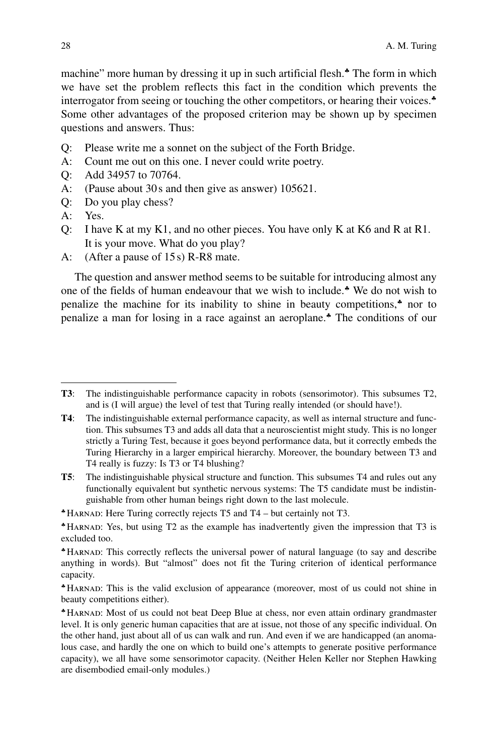machine" more human by dressing it up in such artificial flesh.<sup>•</sup> The form in which we have set the problem reflects this fact in the condition which prevents the interrogator from seeing or touching the other competitors, or hearing their voices.<sup>★</sup> Some other advantages of the proposed criterion may be shown up by specimen questions and answers. Thus:

- Q: Please write me a sonnet on the subject of the Forth Bridge.
- A: Count me out on this one. I never could write poetry.
- Q: Add 34957 to 70764.
- A: (Pause about 30s and then give as answer) 105621.
- Q: Do you play chess?
- A: Yes.
- Q: I have K at my K1, and no other pieces. You have only K at K6 and R at R1. It is your move. What do you play?
- A: (After a pause of 15 s) R-R8 mate.

The question and answer method seems to be suitable for introducing almost any one of the fields of human endeavour that we wish to include.♣ We do not wish to penalize the machine for its inability to shine in beauty competitions,♣ nor to penalize a man for losing in a race against an aeroplane.♣ The conditions of our

♣ Harnad: Here Turing correctly rejects T5 and T4 – but certainly not T3.

**T3**: The indistinguishable performance capacity in robots (sensorimotor). This subsumes T2, and is (I will argue) the level of test that Turing really intended (or should have!).

**T4**: The indistinguishable external performance capacity, as well as internal structure and function. This subsumes T3 and adds all data that a neuroscientist might study. This is no longer strictly a Turing Test, because it goes beyond performance data, but it correctly embeds the Turing Hierarchy in a larger empirical hierarchy. Moreover, the boundary between T3 and T4 really is fuzzy: Is T3 or T4 blushing?

**T5**: The indistinguishable physical structure and function. This subsumes T4 and rules out any functionally equivalent but synthetic nervous systems: The T5 candidate must be indistinguishable from other human beings right down to the last molecule.

<sup>♣</sup> Harnad: Yes, but using T2 as the example has inadvertently given the impression that T3 is excluded too.

<sup>♣</sup> Harnad: This correctly reflects the universal power of natural language (to say and describe anything in words). But "almost" does not fit the Turing criterion of identical performance capacity.

<sup>♣</sup> Harnad: This is the valid exclusion of appearance (moreover, most of us could not shine in beauty competitions either).

<sup>♣</sup> Harnad: Most of us could not beat Deep Blue at chess, nor even attain ordinary grandmaster level. It is only generic human capacities that are at issue, not those of any specific individual. On the other hand, just about all of us can walk and run. And even if we are handicapped (an anomalous case, and hardly the one on which to build one's attempts to generate positive performance capacity), we all have some sensorimotor capacity. (Neither Helen Keller nor Stephen Hawking are disembodied email-only modules.)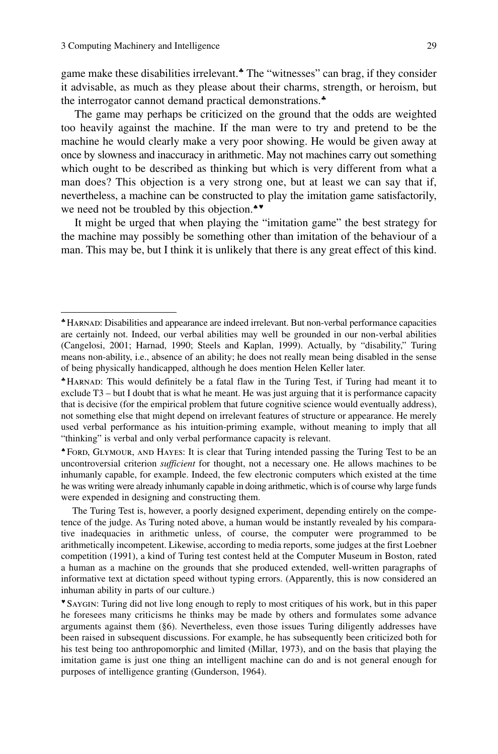game make these disabilities irrelevant.♣ The "witnesses" can brag, if they consider it advisable, as much as they please about their charms, strength, or heroism, but the interrogator cannot demand practical demonstrations.<sup>◆</sup>

The game may perhaps be criticized on the ground that the odds are weighted too heavily against the machine. If the man were to try and pretend to be the machine he would clearly make a very poor showing. He would be given away at once by slowness and inaccuracy in arithmetic. May not machines carry out something which ought to be described as thinking but which is very different from what a man does? This objection is a very strong one, but at least we can say that if, nevertheless, a machine can be constructed to play the imitation game satisfactorily, we need not be troubled by this objection.<sup>★▼</sup>

It might be urged that when playing the "imitation game" the best strategy for the machine may possibly be something other than imitation of the behaviour of a man. This may be, but I think it is unlikely that there is any great effect of this kind.

<sup>♣</sup> Harnad: Disabilities and appearance are indeed irrelevant. But non-verbal performance capacities are certainly not. Indeed, our verbal abilities may well be grounded in our non-verbal abilities (Cangelosi, 2001; Harnad, 1990; Steels and Kaplan, 1999). Actually, by "disability," Turing means non-ability, i.e., absence of an ability; he does not really mean being disabled in the sense of being physically handicapped, although he does mention Helen Keller later.

<sup>♣</sup> Harnad: This would definitely be a fatal flaw in the Turing Test, if Turing had meant it to exclude T3 – but I doubt that is what he meant. He was just arguing that it is performance capacity that is decisive (for the empirical problem that future cognitive science would eventually address), not something else that might depend on irrelevant features of structure or appearance. He merely used verbal performance as his intuition-priming example, without meaning to imply that all "thinking" is verbal and only verbal performance capacity is relevant.

<sup>♠</sup> Ford, Glymour, and Hayes: It is clear that Turing intended passing the Turing Test to be an uncontroversial criterion *sufficient* for thought, not a necessary one. He allows machines to be inhumanly capable, for example. Indeed, the few electronic computers which existed at the time he was writing were already inhumanly capable in doing arithmetic, which is of course why large funds were expended in designing and constructing them.

The Turing Test is, however, a poorly designed experiment, depending entirely on the competence of the judge. As Turing noted above, a human would be instantly revealed by his comparative inadequacies in arithmetic unless, of course, the computer were programmed to be arithmetically incompetent. Likewise, according to media reports, some judges at the first Loebner competition (1991), a kind of Turing test contest held at the Computer Museum in Boston, rated a human as a machine on the grounds that she produced extended, well-written paragraphs of informative text at dictation speed without typing errors. (Apparently, this is now considered an inhuman ability in parts of our culture.)

<sup>♥</sup> Saygin: Turing did not live long enough to reply to most critiques of his work, but in this paper he foresees many criticisms he thinks may be made by others and formulates some advance arguments against them (§6). Nevertheless, even those issues Turing diligently addresses have been raised in subsequent discussions. For example, he has subsequently been criticized both for his test being too anthropomorphic and limited (Millar, 1973), and on the basis that playing the imitation game is just one thing an intelligent machine can do and is not general enough for purposes of intelligence granting (Gunderson, 1964).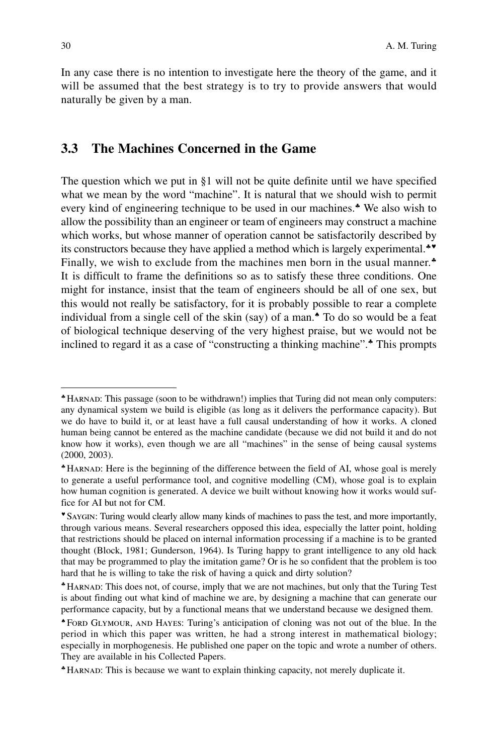In any case there is no intention to investigate here the theory of the game, and it will be assumed that the best strategy is to try to provide answers that would naturally be given by a man.

#### **3.3 The Machines Concerned in the Game**

The question which we put in §1 will not be quite definite until we have specified what we mean by the word "machine". It is natural that we should wish to permit every kind of engineering technique to be used in our machines.<sup>•</sup> We also wish to allow the possibility than an engineer or team of engineers may construct a machine which works, but whose manner of operation cannot be satisfactorily described by its constructors because they have applied a method which is largely experimental.♣♥ Finally, we wish to exclude from the machines men born in the usual manner.<sup>★</sup> It is difficult to frame the definitions so as to satisfy these three conditions. One might for instance, insist that the team of engineers should be all of one sex, but this would not really be satisfactory, for it is probably possible to rear a complete individual from a single cell of the skin (say) of a man.♠ To do so would be a feat of biological technique deserving of the very highest praise, but we would not be inclined to regard it as a case of "constructing a thinking machine".♣ This prompts

<sup>♣</sup> Harnad: This passage (soon to be withdrawn!) implies that Turing did not mean only computers: any dynamical system we build is eligible (as long as it delivers the performance capacity). But we do have to build it, or at least have a full causal understanding of how it works. A cloned human being cannot be entered as the machine candidate (because we did not build it and do not know how it works), even though we are all "machines" in the sense of being causal systems (2000, 2003).

<sup>♣</sup> Harnad: Here is the beginning of the difference between the field of AI, whose goal is merely to generate a useful performance tool, and cognitive modelling (CM), whose goal is to explain how human cognition is generated. A device we built without knowing how it works would suffice for AI but not for CM.

<sup>♥</sup> Saygin: Turing would clearly allow many kinds of machines to pass the test, and more importantly, through various means. Several researchers opposed this idea, especially the latter point, holding that restrictions should be placed on internal information processing if a machine is to be granted thought (Block, 1981; Gunderson, 1964). Is Turing happy to grant intelligence to any old hack that may be programmed to play the imitation game? Or is he so confident that the problem is too hard that he is willing to take the risk of having a quick and dirty solution?

<sup>♣</sup> Harnad: This does not, of course, imply that we are not machines, but only that the Turing Test is about finding out what kind of machine we are, by designing a machine that can generate our performance capacity, but by a functional means that we understand because we designed them.

<sup>♠</sup> Ford Glymour, and Hayes: Turing's anticipation of cloning was not out of the blue. In the period in which this paper was written, he had a strong interest in mathematical biology; especially in morphogenesis. He published one paper on the topic and wrote a number of others. They are available in his Collected Papers.

<sup>♣</sup> Harnad: This is because we want to explain thinking capacity, not merely duplicate it.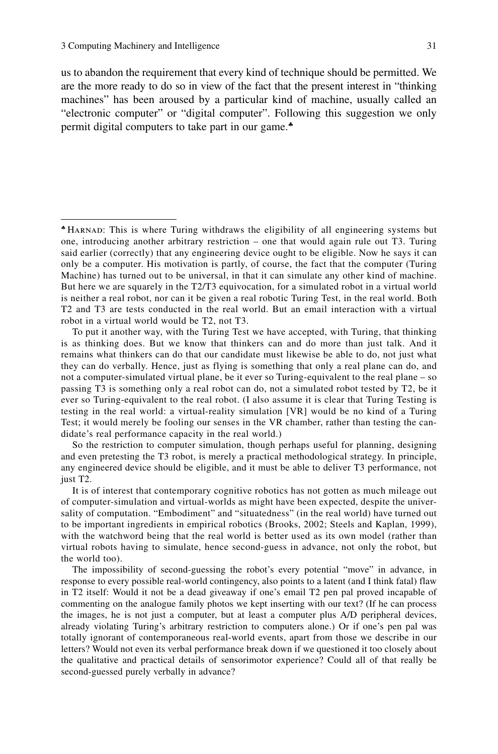us to abandon the requirement that every kind of technique should be permitted. We are the more ready to do so in view of the fact that the present interest in "thinking machines" has been aroused by a particular kind of machine, usually called an "electronic computer" or "digital computer". Following this suggestion we only permit digital computers to take part in our game.♣

<sup>♣</sup> Harnad: This is where Turing withdraws the eligibility of all engineering systems but one, introducing another arbitrary restriction – one that would again rule out T3. Turing said earlier (correctly) that any engineering device ought to be eligible. Now he says it can only be a computer. His motivation is partly, of course, the fact that the computer (Turing Machine) has turned out to be universal, in that it can simulate any other kind of machine. But here we are squarely in the T2/T3 equivocation, for a simulated robot in a virtual world is neither a real robot, nor can it be given a real robotic Turing Test, in the real world. Both T2 and T3 are tests conducted in the real world. But an email interaction with a virtual robot in a virtual world would be T2, not T3.

To put it another way, with the Turing Test we have accepted, with Turing, that thinking is as thinking does. But we know that thinkers can and do more than just talk. And it remains what thinkers can do that our candidate must likewise be able to do, not just what they can do verbally. Hence, just as flying is something that only a real plane can do, and not a computer-simulated virtual plane, be it ever so Turing-equivalent to the real plane – so passing T3 is something only a real robot can do, not a simulated robot tested by T2, be it ever so Turing-equivalent to the real robot. (I also assume it is clear that Turing Testing is testing in the real world: a virtual-reality simulation [VR] would be no kind of a Turing Test; it would merely be fooling our senses in the VR chamber, rather than testing the candidate's real performance capacity in the real world.)

So the restriction to computer simulation, though perhaps useful for planning, designing and even pretesting the T3 robot, is merely a practical methodological strategy. In principle, any engineered device should be eligible, and it must be able to deliver T3 performance, not just T<sub>2</sub>.

It is of interest that contemporary cognitive robotics has not gotten as much mileage out of computer-simulation and virtual-worlds as might have been expected, despite the universality of computation. "Embodiment" and "situatedness" (in the real world) have turned out to be important ingredients in empirical robotics (Brooks, 2002; Steels and Kaplan, 1999), with the watchword being that the real world is better used as its own model (rather than virtual robots having to simulate, hence second-guess in advance, not only the robot, but the world too).

The impossibility of second-guessing the robot's every potential "move" in advance, in response to every possible real-world contingency, also points to a latent (and I think fatal) flaw in T2 itself: Would it not be a dead giveaway if one's email T2 pen pal proved incapable of commenting on the analogue family photos we kept inserting with our text? (If he can process the images, he is not just a computer, but at least a computer plus A/D peripheral devices, already violating Turing's arbitrary restriction to computers alone.) Or if one's pen pal was totally ignorant of contemporaneous real-world events, apart from those we describe in our letters? Would not even its verbal performance break down if we questioned it too closely about the qualitative and practical details of sensorimotor experience? Could all of that really be second-guessed purely verbally in advance?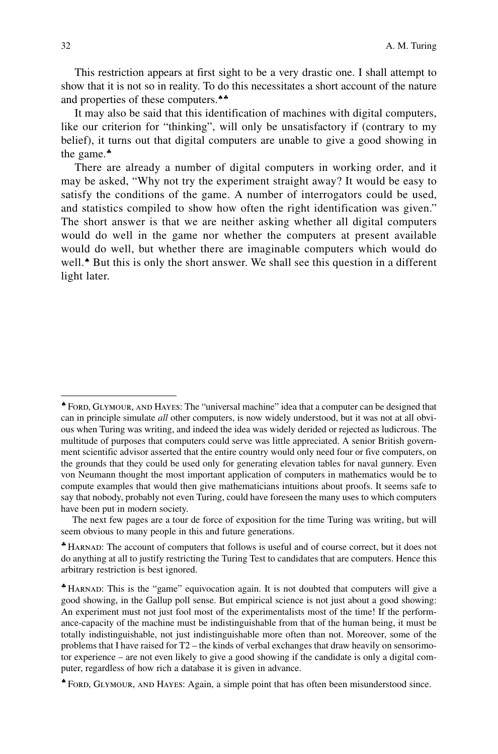This restriction appears at first sight to be a very drastic one. I shall attempt to show that it is not so in reality. To do this necessitates a short account of the nature and properties of these computers.<sup>◆◆</sup>

It may also be said that this identification of machines with digital computers, like our criterion for "thinking", will only be unsatisfactory if (contrary to my belief), it turns out that digital computers are unable to give a good showing in the game.<sup>\*</sup>

There are already a number of digital computers in working order, and it may be asked, "Why not try the experiment straight away? It would be easy to satisfy the conditions of the game. A number of interrogators could be used, and statistics compiled to show how often the right identification was given." The short answer is that we are neither asking whether all digital computers would do well in the game nor whether the computers at present available would do well, but whether there are imaginable computers which would do well.<sup>★</sup> But this is only the short answer. We shall see this question in a different light later.

<sup>♠</sup> Ford, Glymour, and Hayes: The "universal machine" idea that a computer can be designed that can in principle simulate *all* other computers, is now widely understood, but it was not at all obvious when Turing was writing, and indeed the idea was widely derided or rejected as ludicrous. The multitude of purposes that computers could serve was little appreciated. A senior British government scientific advisor asserted that the entire country would only need four or five computers, on the grounds that they could be used only for generating elevation tables for naval gunnery. Even von Neumann thought the most important application of computers in mathematics would be to compute examples that would then give mathematicians intuitions about proofs. It seems safe to say that nobody, probably not even Turing, could have foreseen the many uses to which computers have been put in modern society.

The next few pages are a tour de force of exposition for the time Turing was writing, but will seem obvious to many people in this and future generations.

<sup>♣</sup> Harnad: The account of computers that follows is useful and of course correct, but it does not do anything at all to justify restricting the Turing Test to candidates that are computers. Hence this arbitrary restriction is best ignored.

<sup>♣</sup> Harnad: This is the "game" equivocation again. It is not doubted that computers will give a good showing, in the Gallup poll sense. But empirical science is not just about a good showing: An experiment must not just fool most of the experimentalists most of the time! If the performance-capacity of the machine must be indistinguishable from that of the human being, it must be totally indistinguishable, not just indistinguishable more often than not. Moreover, some of the problems that I have raised for T2 – the kinds of verbal exchanges that draw heavily on sensorimotor experience – are not even likely to give a good showing if the candidate is only a digital computer, regardless of how rich a database it is given in advance.

<sup>♠</sup> Ford, Glymour, and Hayes: Again, a simple point that has often been misunderstood since.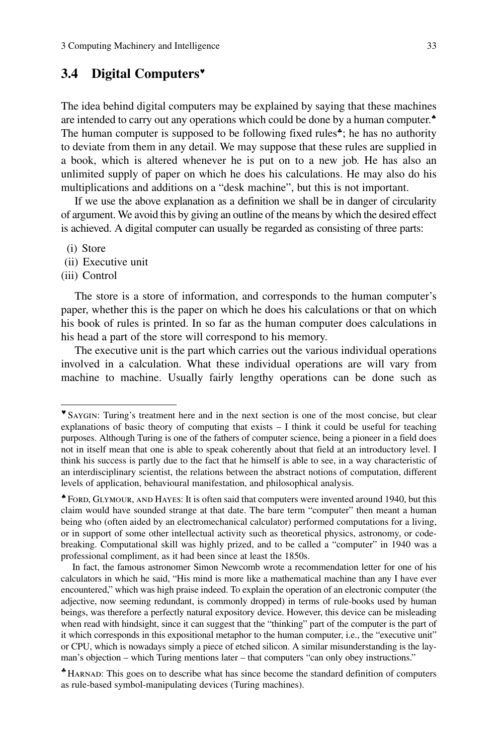#### **3.4 Digital Computers**♥

The idea behind digital computers may be explained by saying that these machines are intended to carry out any operations which could be done by a human computer.♠ The human computer is supposed to be following fixed rules<sup> $\star$ </sup>; he has no authority to deviate from them in any detail. We may suppose that these rules are supplied in a book, which is altered whenever he is put on to a new job. He has also an unlimited supply of paper on which he does his calculations. He may also do his multiplications and additions on a "desk machine", but this is not important.

If we use the above explanation as a definition we shall be in danger of circularity of argument. We avoid this by giving an outline of the means by which the desired effect is achieved. A digital computer can usually be regarded as consisting of three parts:

- (i) Store
- (ii) Executive unit
- (iii) Control

The store is a store of information, and corresponds to the human computer's paper, whether this is the paper on which he does his calculations or that on which his book of rules is printed. In so far as the human computer does calculations in his head a part of the store will correspond to his memory.

The executive unit is the part which carries out the various individual operations involved in a calculation. What these individual operations are will vary from machine to machine. Usually fairly lengthy operations can be done such as

<sup>♥</sup> Saygin: Turing's treatment here and in the next section is one of the most concise, but clear explanations of basic theory of computing that exists – I think it could be useful for teaching purposes. Although Turing is one of the fathers of computer science, being a pioneer in a field does not in itself mean that one is able to speak coherently about that field at an introductory level. I think his success is partly due to the fact that he himself is able to see, in a way characteristic of an interdisciplinary scientist, the relations between the abstract notions of computation, different levels of application, behavioural manifestation, and philosophical analysis.

<sup>♠</sup> Ford, Glymour, and Hayes: It is often said that computers were invented around 1940, but this claim would have sounded strange at that date. The bare term "computer" then meant a human being who (often aided by an electromechanical calculator) performed computations for a living, or in support of some other intellectual activity such as theoretical physics, astronomy, or codebreaking. Computational skill was highly prized, and to be called a "computer" in 1940 was a professional compliment, as it had been since at least the 1850s.

In fact, the famous astronomer Simon Newcomb wrote a recommendation letter for one of his calculators in which he said, "His mind is more like a mathematical machine than any I have ever encountered," which was high praise indeed. To explain the operation of an electronic computer (the adjective, now seeming redundant, is commonly dropped) in terms of rule-books used by human beings, was therefore a perfectly natural expository device. However, this device can be misleading when read with hindsight, since it can suggest that the "thinking" part of the computer is the part of it which corresponds in this expositional metaphor to the human computer, i.e., the "executive unit" or CPU, which is nowadays simply a piece of etched silicon. A similar misunderstanding is the layman's objection – which Turing mentions later – that computers "can only obey instructions."

<sup>♣</sup> Harnad: This goes on to describe what has since become the standard definition of computers as rule-based symbol-manipulating devices (Turing machines).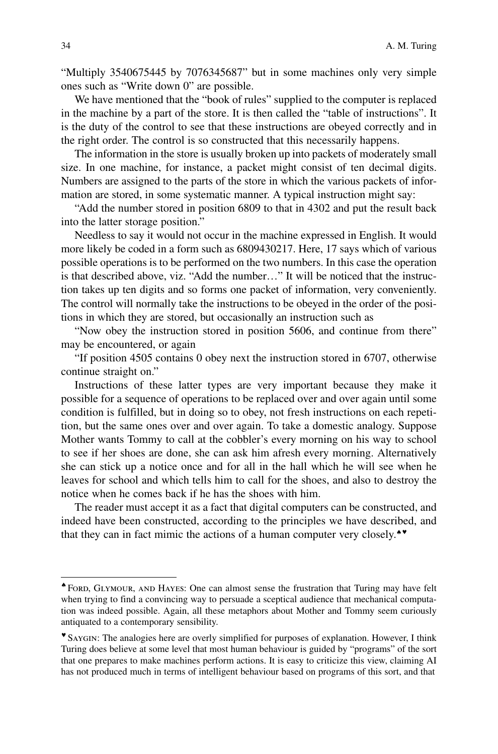"Multiply 3540675445 by 7076345687" but in some machines only very simple ones such as "Write down 0" are possible.

We have mentioned that the "book of rules" supplied to the computer is replaced in the machine by a part of the store. It is then called the "table of instructions". It is the duty of the control to see that these instructions are obeyed correctly and in the right order. The control is so constructed that this necessarily happens.

The information in the store is usually broken up into packets of moderately small size. In one machine, for instance, a packet might consist of ten decimal digits. Numbers are assigned to the parts of the store in which the various packets of information are stored, in some systematic manner. A typical instruction might say:

"Add the number stored in position 6809 to that in 4302 and put the result back into the latter storage position."

Needless to say it would not occur in the machine expressed in English. It would more likely be coded in a form such as 6809430217. Here, 17 says which of various possible operations is to be performed on the two numbers. In this case the operation is that described above, viz. "Add the number…" It will be noticed that the instruction takes up ten digits and so forms one packet of information, very conveniently. The control will normally take the instructions to be obeyed in the order of the positions in which they are stored, but occasionally an instruction such as

"Now obey the instruction stored in position 5606, and continue from there" may be encountered, or again

"If position 4505 contains 0 obey next the instruction stored in 6707, otherwise continue straight on."

Instructions of these latter types are very important because they make it possible for a sequence of operations to be replaced over and over again until some condition is fulfilled, but in doing so to obey, not fresh instructions on each repetition, but the same ones over and over again. To take a domestic analogy. Suppose Mother wants Tommy to call at the cobbler's every morning on his way to school to see if her shoes are done, she can ask him afresh every morning. Alternatively she can stick up a notice once and for all in the hall which he will see when he leaves for school and which tells him to call for the shoes, and also to destroy the notice when he comes back if he has the shoes with him.

The reader must accept it as a fact that digital computers can be constructed, and indeed have been constructed, according to the principles we have described, and that they can in fact mimic the actions of a human computer very closely.<sup>▲▼</sup>

<sup>♠</sup> Ford, Glymour, and Hayes: One can almost sense the frustration that Turing may have felt when trying to find a convincing way to persuade a sceptical audience that mechanical computation was indeed possible. Again, all these metaphors about Mother and Tommy seem curiously antiquated to a contemporary sensibility.

<sup>♥</sup> Saygin: The analogies here are overly simplified for purposes of explanation. However, I think Turing does believe at some level that most human behaviour is guided by "programs" of the sort that one prepares to make machines perform actions. It is easy to criticize this view, claiming AI has not produced much in terms of intelligent behaviour based on programs of this sort, and that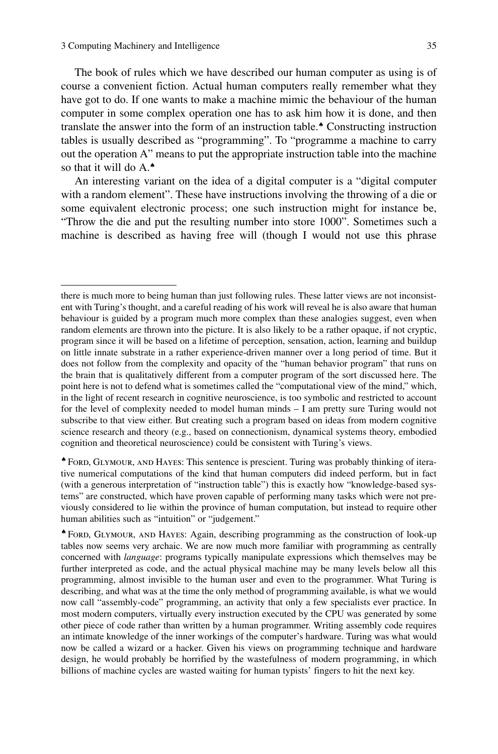The book of rules which we have described our human computer as using is of course a convenient fiction. Actual human computers really remember what they have got to do. If one wants to make a machine mimic the behaviour of the human computer in some complex operation one has to ask him how it is done, and then translate the answer into the form of an instruction table.♠ Constructing instruction tables is usually described as "programming". To "programme a machine to carry out the operation A" means to put the appropriate instruction table into the machine so that it will do A.<sup>◆</sup>

An interesting variant on the idea of a digital computer is a "digital computer with a random element". These have instructions involving the throwing of a die or some equivalent electronic process; one such instruction might for instance be, "Throw the die and put the resulting number into store 1000". Sometimes such a machine is described as having free will (though I would not use this phrase

♠ Ford, Glymour, and Hayes: This sentence is prescient. Turing was probably thinking of iterative numerical computations of the kind that human computers did indeed perform, but in fact (with a generous interpretation of "instruction table") this is exactly how "knowledge-based systems" are constructed, which have proven capable of performing many tasks which were not previously considered to lie within the province of human computation, but instead to require other human abilities such as "intuition" or "judgement."

♠ Ford, Glymour, and Hayes: Again, describing programming as the construction of look-up tables now seems very archaic. We are now much more familiar with programming as centrally concerned with *language*: programs typically manipulate expressions which themselves may be further interpreted as code, and the actual physical machine may be many levels below all this programming, almost invisible to the human user and even to the programmer. What Turing is describing, and what was at the time the only method of programming available, is what we would now call "assembly-code" programming, an activity that only a few specialists ever practice. In most modern computers, virtually every instruction executed by the CPU was generated by some other piece of code rather than written by a human programmer. Writing assembly code requires an intimate knowledge of the inner workings of the computer's hardware. Turing was what would now be called a wizard or a hacker. Given his views on programming technique and hardware design, he would probably be horrified by the wastefulness of modern programming, in which billions of machine cycles are wasted waiting for human typists' fingers to hit the next key.

there is much more to being human than just following rules. These latter views are not inconsistent with Turing's thought, and a careful reading of his work will reveal he is also aware that human behaviour is guided by a program much more complex than these analogies suggest, even when random elements are thrown into the picture. It is also likely to be a rather opaque, if not cryptic, program since it will be based on a lifetime of perception, sensation, action, learning and buildup on little innate substrate in a rather experience-driven manner over a long period of time. But it does not follow from the complexity and opacity of the "human behavior program" that runs on the brain that is qualitatively different from a computer program of the sort discussed here. The point here is not to defend what is sometimes called the "computational view of the mind," which, in the light of recent research in cognitive neuroscience, is too symbolic and restricted to account for the level of complexity needed to model human minds – I am pretty sure Turing would not subscribe to that view either. But creating such a program based on ideas from modern cognitive science research and theory (e.g., based on connectionism, dynamical systems theory, embodied cognition and theoretical neuroscience) could be consistent with Turing's views.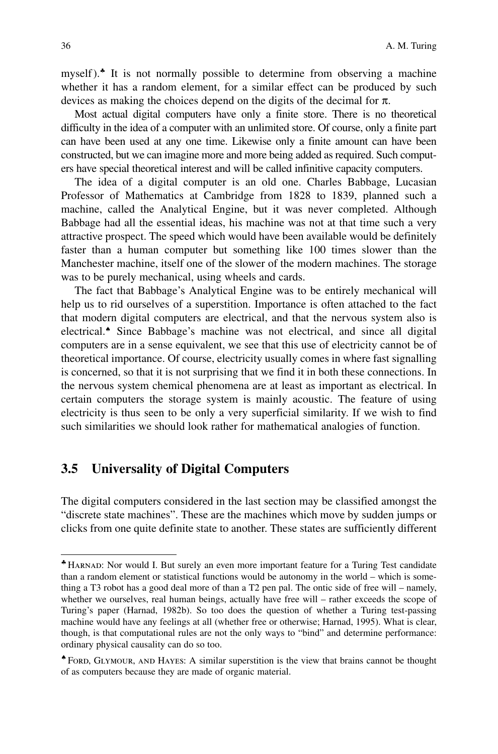myself).<sup>\*</sup> It is not normally possible to determine from observing a machine whether it has a random element, for a similar effect can be produced by such devices as making the choices depend on the digits of the decimal for  $\pi$ .

Most actual digital computers have only a finite store. There is no theoretical difficulty in the idea of a computer with an unlimited store. Of course, only a finite part can have been used at any one time. Likewise only a finite amount can have been constructed, but we can imagine more and more being added as required. Such computers have special theoretical interest and will be called infinitive capacity computers.

The idea of a digital computer is an old one. Charles Babbage, Lucasian Professor of Mathematics at Cambridge from 1828 to 1839, planned such a machine, called the Analytical Engine, but it was never completed. Although Babbage had all the essential ideas, his machine was not at that time such a very attractive prospect. The speed which would have been available would be definitely faster than a human computer but something like 100 times slower than the Manchester machine, itself one of the slower of the modern machines. The storage was to be purely mechanical, using wheels and cards.

The fact that Babbage's Analytical Engine was to be entirely mechanical will help us to rid ourselves of a superstition. Importance is often attached to the fact that modern digital computers are electrical, and that the nervous system also is electrical.♠ Since Babbage's machine was not electrical, and since all digital computers are in a sense equivalent, we see that this use of electricity cannot be of theoretical importance. Of course, electricity usually comes in where fast signalling is concerned, so that it is not surprising that we find it in both these connections. In the nervous system chemical phenomena are at least as important as electrical. In certain computers the storage system is mainly acoustic. The feature of using electricity is thus seen to be only a very superficial similarity. If we wish to find such similarities we should look rather for mathematical analogies of function.

## **3.5 Universality of Digital Computers**

The digital computers considered in the last section may be classified amongst the "discrete state machines". These are the machines which move by sudden jumps or clicks from one quite definite state to another. These states are sufficiently different

<sup>♣</sup> Harnad: Nor would I. But surely an even more important feature for a Turing Test candidate than a random element or statistical functions would be autonomy in the world – which is something a T3 robot has a good deal more of than a T2 pen pal. The ontic side of free will – namely, whether we ourselves, real human beings, actually have free will – rather exceeds the scope of Turing's paper (Harnad, 1982b). So too does the question of whether a Turing test-passing machine would have any feelings at all (whether free or otherwise; Harnad, 1995). What is clear, though, is that computational rules are not the only ways to "bind" and determine performance: ordinary physical causality can do so too.

<sup>♠</sup> Ford, Glymour, and Hayes: A similar superstition is the view that brains cannot be thought of as computers because they are made of organic material.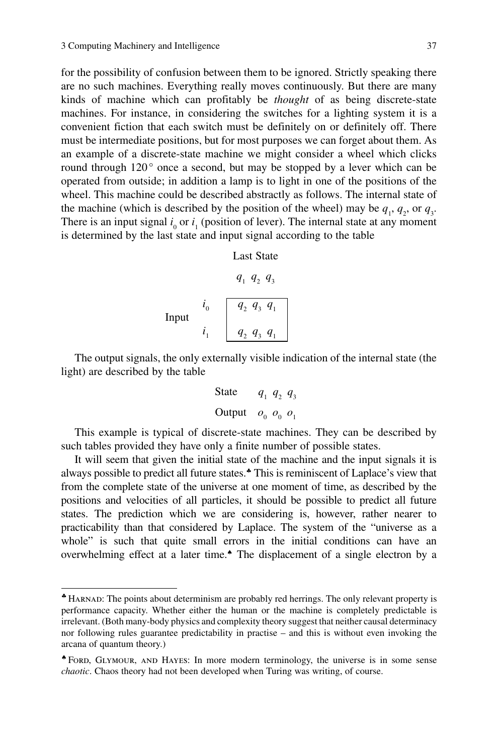for the possibility of confusion between them to be ignored. Strictly speaking there are no such machines. Everything really moves continuously. But there are many kinds of machine which can profitably be *thought* of as being discrete-state machines. For instance, in considering the switches for a lighting system it is a convenient fiction that each switch must be definitely on or definitely off. There must be intermediate positions, but for most purposes we can forget about them. As an example of a discrete-state machine we might consider a wheel which clicks round through  $120^{\circ}$  once a second, but may be stopped by a lever which can be operated from outside; in addition a lamp is to light in one of the positions of the wheel. This machine could be described abstractly as follows. The internal state of the machine (which is described by the position of the wheel) may be  $q_1$ ,  $q_2$ , or  $q_3$ . There is an input signal  $i_0$  or  $i_1$  (position of lever). The internal state at any moment is determined by the last state and input signal according to the table

#### Last State

$$
q_1 \t q_2 \t q_3
$$
\nInput

\n
$$
i_0 \t q_2 \t q_3 \t q_1
$$
\n
$$
i_1 \t q_2 \t q_3 \t q_1
$$

The output signals, the only externally visible indication of the internal state (the light) are described by the table

State 
$$
q_1
$$
  $q_2$   $q_3$   
Output  $o_0$   $o_0$   $o_1$ 

This example is typical of discrete-state machines. They can be described by such tables provided they have only a finite number of possible states.

It will seem that given the initial state of the machine and the input signals it is always possible to predict all future states.♣ This is reminiscent of Laplace's view that from the complete state of the universe at one moment of time, as described by the positions and velocities of all particles, it should be possible to predict all future states. The prediction which we are considering is, however, rather nearer to practicability than that considered by Laplace. The system of the "universe as a whole" is such that quite small errors in the initial conditions can have an overwhelming effect at a later time.♠ The displacement of a single electron by a

<sup>♣</sup> Harnad: The points about determinism are probably red herrings. The only relevant property is performance capacity. Whether either the human or the machine is completely predictable is irrelevant. (Both many-body physics and complexity theory suggest that neither causal determinacy nor following rules guarantee predictability in practise – and this is without even invoking the arcana of quantum theory.)

<sup>♠</sup> Ford, Glymour, and Hayes: In more modern terminology, the universe is in some sense *chaotic*. Chaos theory had not been developed when Turing was writing, of course.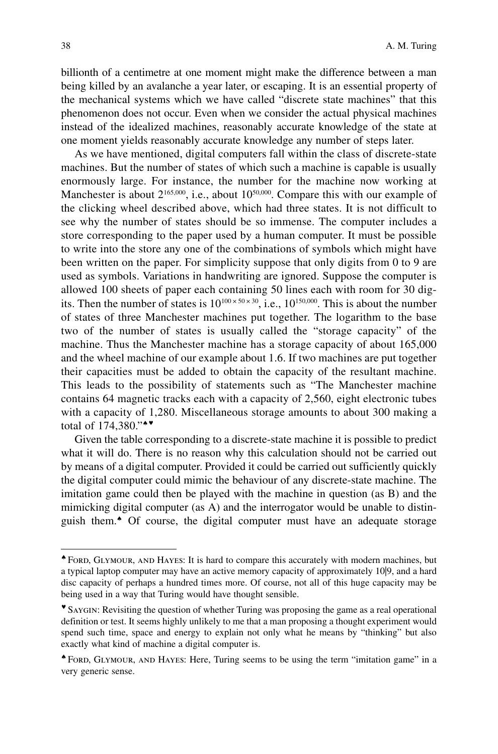billionth of a centimetre at one moment might make the difference between a man being killed by an avalanche a year later, or escaping. It is an essential property of the mechanical systems which we have called "discrete state machines" that this phenomenon does not occur. Even when we consider the actual physical machines instead of the idealized machines, reasonably accurate knowledge of the state at one moment yields reasonably accurate knowledge any number of steps later.

As we have mentioned, digital computers fall within the class of discrete-state machines. But the number of states of which such a machine is capable is usually enormously large. For instance, the number for the machine now working at Manchester is about  $2^{165,000}$ , i.e., about  $10^{50,000}$ . Compare this with our example of the clicking wheel described above, which had three states. It is not difficult to see why the number of states should be so immense. The computer includes a store corresponding to the paper used by a human computer. It must be possible to write into the store any one of the combinations of symbols which might have been written on the paper. For simplicity suppose that only digits from 0 to 9 are used as symbols. Variations in handwriting are ignored. Suppose the computer is allowed 100 sheets of paper each containing 50 lines each with room for 30 digits. Then the number of states is  $10^{100 \times 50 \times 30}$ , i.e.,  $10^{150,000}$ . This is about the number of states of three Manchester machines put together. The logarithm to the base two of the number of states is usually called the "storage capacity" of the machine. Thus the Manchester machine has a storage capacity of about 165,000 and the wheel machine of our example about 1.6. If two machines are put together their capacities must be added to obtain the capacity of the resultant machine. This leads to the possibility of statements such as "The Manchester machine contains 64 magnetic tracks each with a capacity of 2,560, eight electronic tubes with a capacity of 1,280. Miscellaneous storage amounts to about 300 making a total of 174,380."<sup>▲●</sup>

Given the table corresponding to a discrete-state machine it is possible to predict what it will do. There is no reason why this calculation should not be carried out by means of a digital computer. Provided it could be carried out sufficiently quickly the digital computer could mimic the behaviour of any discrete-state machine. The imitation game could then be played with the machine in question (as B) and the mimicking digital computer (as A) and the interrogator would be unable to distinguish them.♠ Of course, the digital computer must have an adequate storage

<sup>♠</sup> Ford, Glymour, and Hayes: It is hard to compare this accurately with modern machines, but a typical laptop computer may have an active memory capacity of approximately 10|9, and a hard disc capacity of perhaps a hundred times more. Of course, not all of this huge capacity may be being used in a way that Turing would have thought sensible.

<sup>♥</sup> Saygin: Revisiting the question of whether Turing was proposing the game as a real operational definition or test. It seems highly unlikely to me that a man proposing a thought experiment would spend such time, space and energy to explain not only what he means by "thinking" but also exactly what kind of machine a digital computer is.

<sup>♠</sup> Ford, Glymour, and Hayes: Here, Turing seems to be using the term "imitation game" in a very generic sense.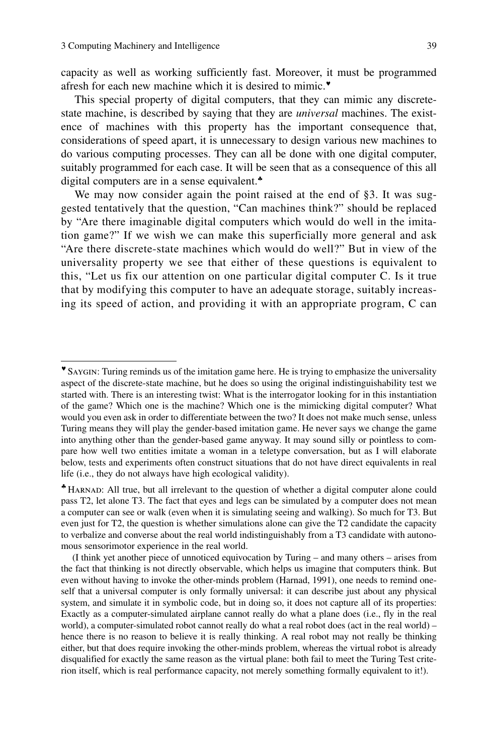capacity as well as working sufficiently fast. Moreover, it must be programmed afresh for each new machine which it is desired to mimic.♥

This special property of digital computers, that they can mimic any discretestate machine, is described by saying that they are *universal* machines. The existence of machines with this property has the important consequence that, considerations of speed apart, it is unnecessary to design various new machines to do various computing processes. They can all be done with one digital computer, suitably programmed for each case. It will be seen that as a consequence of this all digital computers are in a sense equivalent.♣

We may now consider again the point raised at the end of §3. It was suggested tentatively that the question, "Can machines think?" should be replaced by "Are there imaginable digital computers which would do well in the imitation game?" If we wish we can make this superficially more general and ask "Are there discrete-state machines which would do well?" But in view of the universality property we see that either of these questions is equivalent to this, "Let us fix our attention on one particular digital computer C. Is it true that by modifying this computer to have an adequate storage, suitably increasing its speed of action, and providing it with an appropriate program, C can

<sup>♥</sup> Saygin: Turing reminds us of the imitation game here. He is trying to emphasize the universality aspect of the discrete-state machine, but he does so using the original indistinguishability test we started with. There is an interesting twist: What is the interrogator looking for in this instantiation of the game? Which one is the machine? Which one is the mimicking digital computer? What would you even ask in order to differentiate between the two? It does not make much sense, unless Turing means they will play the gender-based imitation game. He never says we change the game into anything other than the gender-based game anyway. It may sound silly or pointless to compare how well two entities imitate a woman in a teletype conversation, but as I will elaborate below, tests and experiments often construct situations that do not have direct equivalents in real life (i.e., they do not always have high ecological validity).

<sup>♣</sup> Harnad: All true, but all irrelevant to the question of whether a digital computer alone could pass T2, let alone T3. The fact that eyes and legs can be simulated by a computer does not mean a computer can see or walk (even when it is simulating seeing and walking). So much for T3. But even just for T2, the question is whether simulations alone can give the T2 candidate the capacity to verbalize and converse about the real world indistinguishably from a T3 candidate with autonomous sensorimotor experience in the real world.

<sup>(</sup>I think yet another piece of unnoticed equivocation by Turing – and many others – arises from the fact that thinking is not directly observable, which helps us imagine that computers think. But even without having to invoke the other-minds problem (Harnad, 1991), one needs to remind oneself that a universal computer is only formally universal: it can describe just about any physical system, and simulate it in symbolic code, but in doing so, it does not capture all of its properties: Exactly as a computer-simulated airplane cannot really do what a plane does (i.e., fly in the real world), a computer-simulated robot cannot really do what a real robot does (act in the real world) – hence there is no reason to believe it is really thinking. A real robot may not really be thinking either, but that does require invoking the other-minds problem, whereas the virtual robot is already disqualified for exactly the same reason as the virtual plane: both fail to meet the Turing Test criterion itself, which is real performance capacity, not merely something formally equivalent to it!).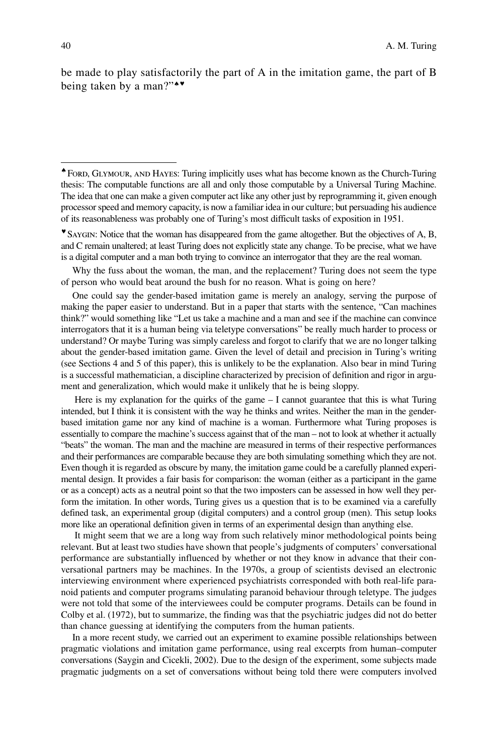be made to play satisfactorily the part of A in the imitation game, the part of B being taken by a man?"<sup>◆</sup>

Why the fuss about the woman, the man, and the replacement? Turing does not seem the type of person who would beat around the bush for no reason. What is going on here?

One could say the gender-based imitation game is merely an analogy, serving the purpose of making the paper easier to understand. But in a paper that starts with the sentence, "Can machines think?" would something like "Let us take a machine and a man and see if the machine can convince interrogators that it is a human being via teletype conversations" be really much harder to process or understand? Or maybe Turing was simply careless and forgot to clarify that we are no longer talking about the gender-based imitation game. Given the level of detail and precision in Turing's writing (see Sections 4 and 5 of this paper), this is unlikely to be the explanation. Also bear in mind Turing is a successful mathematician, a discipline characterized by precision of definition and rigor in argument and generalization, which would make it unlikely that he is being sloppy.

Here is my explanation for the quirks of the game – I cannot guarantee that this is what Turing intended, but I think it is consistent with the way he thinks and writes. Neither the man in the genderbased imitation game nor any kind of machine is a woman. Furthermore what Turing proposes is essentially to compare the machine's success against that of the man – not to look at whether it actually "beats" the woman. The man and the machine are measured in terms of their respective performances and their performances are comparable because they are both simulating something which they are not. Even though it is regarded as obscure by many, the imitation game could be a carefully planned experimental design. It provides a fair basis for comparison: the woman (either as a participant in the game or as a concept) acts as a neutral point so that the two imposters can be assessed in how well they perform the imitation. In other words, Turing gives us a question that is to be examined via a carefully defined task, an experimental group (digital computers) and a control group (men). This setup looks more like an operational definition given in terms of an experimental design than anything else.

It might seem that we are a long way from such relatively minor methodological points being relevant. But at least two studies have shown that people's judgments of computers' conversational performance are substantially influenced by whether or not they know in advance that their conversational partners may be machines. In the 1970s, a group of scientists devised an electronic interviewing environment where experienced psychiatrists corresponded with both real-life paranoid patients and computer programs simulating paranoid behaviour through teletype. The judges were not told that some of the interviewees could be computer programs. Details can be found in Colby et al. (1972), but to summarize, the finding was that the psychiatric judges did not do better than chance guessing at identifying the computers from the human patients.

In a more recent study, we carried out an experiment to examine possible relationships between pragmatic violations and imitation game performance, using real excerpts from human–computer conversations (Saygin and Cicekli, 2002). Due to the design of the experiment, some subjects made pragmatic judgments on a set of conversations without being told there were computers involved

<sup>♠</sup>Ford, Glymour, and Hayes: Turing implicitly uses what has become known as the Church-Turing thesis: The computable functions are all and only those computable by a Universal Turing Machine. The idea that one can make a given computer act like any other just by reprogramming it, given enough processor speed and memory capacity, is now a familiar idea in our culture; but persuading his audience of its reasonableness was probably one of Turing's most difficult tasks of exposition in 1951.

<sup>♥</sup>Saygin: Notice that the woman has disappeared from the game altogether. But the objectives of A, B, and C remain unaltered; at least Turing does not explicitly state any change. To be precise, what we have is a digital computer and a man both trying to convince an interrogator that they are the real woman.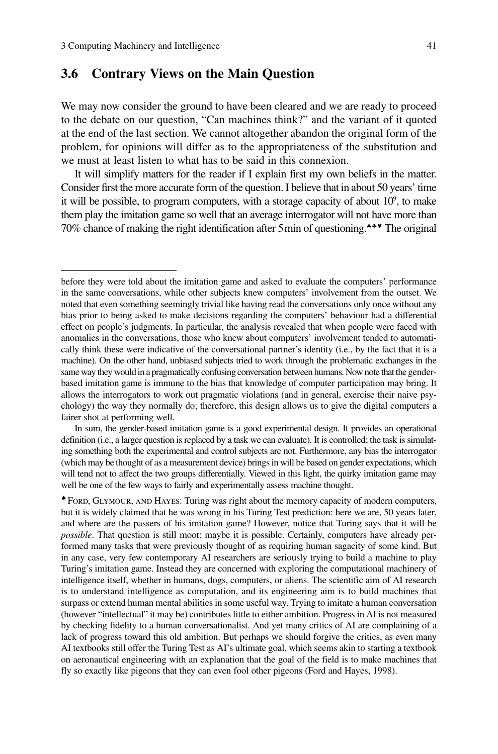## **3.6 Contrary Views on the Main Question**

We may now consider the ground to have been cleared and we are ready to proceed to the debate on our question, "Can machines think?" and the variant of it quoted at the end of the last section. We cannot altogether abandon the original form of the problem, for opinions will differ as to the appropriateness of the substitution and we must at least listen to what has to be said in this connexion.

It will simplify matters for the reader if I explain first my own beliefs in the matter. Consider first the more accurate form of the question. I believe that in about 50 years' time it will be possible, to program computers, with a storage capacity of about  $10^9$ , to make them play the imitation game so well that an average interrogator will not have more than 70% chance of making the right identification after 5 min of questioning.♠♣♥ The original

In sum, the gender-based imitation game is a good experimental design. It provides an operational definition (i.e., a larger question is replaced by a task we can evaluate). It is controlled; the task is simulating something both the experimental and control subjects are not. Furthermore, any bias the interrogator (which may be thought of as a measurement device) brings in will be based on gender expectations, which will tend not to affect the two groups differentially. Viewed in this light, the quirky imitation game may well be one of the few ways to fairly and experimentally assess machine thought.

♠ Ford, Glymour, and Hayes: Turing was right about the memory capacity of modern computers, but it is widely claimed that he was wrong in his Turing Test prediction: here we are, 50 years later, and where are the passers of his imitation game? However, notice that Turing says that it will be *possible*. That question is still moot: maybe it is possible. Certainly, computers have already performed many tasks that were previously thought of as requiring human sagacity of some kind. But in any case, very few contemporary AI researchers are seriously trying to build a machine to play Turing's imitation game. Instead they are concerned with exploring the computational machinery of intelligence itself, whether in humans, dogs, computers, or aliens. The scientific aim of AI research is to understand intelligence as computation, and its engineering aim is to build machines that surpass or extend human mental abilities in some useful way. Trying to imitate a human conversation (however "intellectual" it may be) contributes little to either ambition. Progress in AI is not measured by checking fidelity to a human conversationalist. And yet many critics of AI are complaining of a lack of progress toward this old ambition. But perhaps we should forgive the critics, as even many AI textbooks still offer the Turing Test as AI's ultimate goal, which seems akin to starting a textbook on aeronautical engineering with an explanation that the goal of the field is to make machines that fly so exactly like pigeons that they can even fool other pigeons (Ford and Hayes, 1998).

before they were told about the imitation game and asked to evaluate the computers' performance in the same conversations, while other subjects knew computers' involvement from the outset. We noted that even something seemingly trivial like having read the conversations only once without any bias prior to being asked to make decisions regarding the computers' behaviour had a differential effect on people's judgments. In particular, the analysis revealed that when people were faced with anomalies in the conversations, those who knew about computers' involvement tended to automatically think these were indicative of the conversational partner's identity (i.e., by the fact that it is a machine). On the other hand, unbiased subjects tried to work through the problematic exchanges in the same way they would in a pragmatically confusing conversation between humans. Now note that the genderbased imitation game is immune to the bias that knowledge of computer participation may bring. It allows the interrogators to work out pragmatic violations (and in general, exercise their naive psychology) the way they normally do; therefore, this design allows us to give the digital computers a fairer shot at performing well.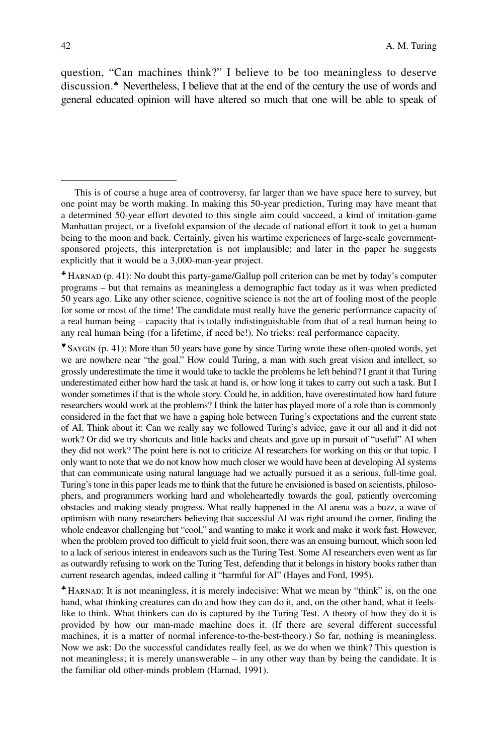question, "Can machines think?" I believe to be too meaningless to deserve discussion.♣ Nevertheless, I believe that at the end of the century the use of words and general educated opinion will have altered so much that one will be able to speak of

This is of course a huge area of controversy, far larger than we have space here to survey, but one point may be worth making. In making this 50-year prediction, Turing may have meant that a determined 50-year effort devoted to this single aim could succeed, a kind of imitation-game Manhattan project, or a fivefold expansion of the decade of national effort it took to get a human being to the moon and back. Certainly, given his wartime experiences of large-scale governmentsponsored projects, this interpretation is not implausible; and later in the paper he suggests explicitly that it would be a 3,000-man-year project.

<sup>♣</sup> Harnad (p. 41): No doubt this party-game/Gallup poll criterion can be met by today's computer programs – but that remains as meaningless a demographic fact today as it was when predicted 50 years ago. Like any other science, cognitive science is not the art of fooling most of the people for some or most of the time! The candidate must really have the generic performance capacity of a real human being – capacity that is totally indistinguishable from that of a real human being to any real human being (for a lifetime, if need be!). No tricks: real performance capacity.

<sup>♥</sup>Saygin (p. 41): More than 50 years have gone by since Turing wrote these often-quoted words, yet we are nowhere near "the goal." How could Turing, a man with such great vision and intellect, so grossly underestimate the time it would take to tackle the problems he left behind? I grant it that Turing underestimated either how hard the task at hand is, or how long it takes to carry out such a task. But I wonder sometimes if that is the whole story. Could he, in addition, have overestimated how hard future researchers would work at the problems? I think the latter has played more of a role than is commonly considered in the fact that we have a gaping hole between Turing's expectations and the current state of AI. Think about it: Can we really say we followed Turing's advice, gave it our all and it did not work? Or did we try shortcuts and little hacks and cheats and gave up in pursuit of "useful" AI when they did not work? The point here is not to criticize AI researchers for working on this or that topic. I only want to note that we do not know how much closer we would have been at developing AI systems that can communicate using natural language had we actually pursued it as a serious, full-time goal. Turing's tone in this paper leads me to think that the future he envisioned is based on scientists, philosophers, and programmers working hard and wholeheartedly towards the goal, patiently overcoming obstacles and making steady progress. What really happened in the AI arena was a buzz, a wave of optimism with many researchers believing that successful AI was right around the corner, finding the whole endeavor challenging but "cool," and wanting to make it work and make it work fast. However, when the problem proved too difficult to yield fruit soon, there was an ensuing burnout, which soon led to a lack of serious interest in endeavors such as the Turing Test. Some AI researchers even went as far as outwardly refusing to work on the Turing Test, defending that it belongs in history books rather than current research agendas, indeed calling it "harmful for AI" (Hayes and Ford, 1995).

<sup>♣</sup> Harnad: It is not meaningless, it is merely indecisive: What we mean by "think" is, on the one hand, what thinking creatures can do and how they can do it, and, on the other hand, what it feelslike to think. What thinkers can do is captured by the Turing Test. A theory of how they do it is provided by how our man-made machine does it. (If there are several different successful machines, it is a matter of normal inference-to-the-best-theory.) So far, nothing is meaningless. Now we ask: Do the successful candidates really feel, as we do when we think? This question is not meaningless; it is merely unanswerable – in any other way than by being the candidate. It is the familiar old other-minds problem (Harnad, 1991).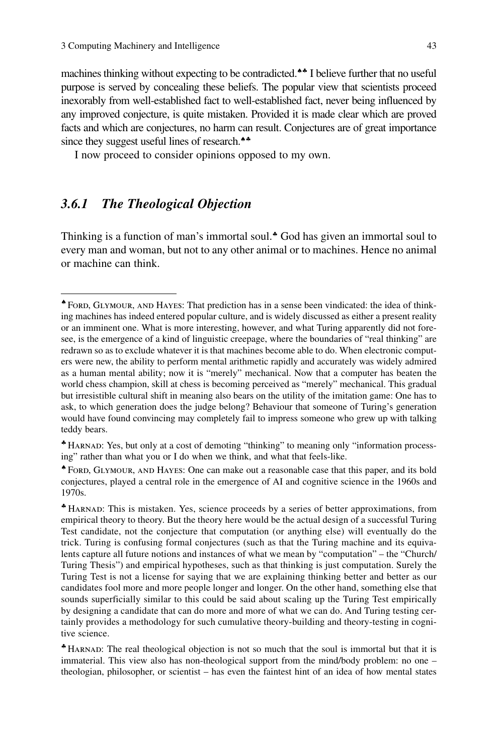machines thinking without expecting to be contradicted.♠♣ I believe further that no useful purpose is served by concealing these beliefs. The popular view that scientists proceed inexorably from well-established fact to well- established fact, never being influenced by any improved conjecture, is quite mistaken. Provided it is made clear which are proved facts and which are conjectures, no harm can result. Conjectures are of great importance since they suggest useful lines of research.<sup>◆◆</sup>

I now proceed to consider opinions opposed to my own.

## *3.6.1 The Theological Objection*

Thinking is a function of man's immortal soul.♣ God has given an immortal soul to every man and woman, but not to any other animal or to machines. Hence no animal or machine can think.

<sup>♠</sup> Ford, Glymour, and Hayes: That prediction has in a sense been vindicated: the idea of thinking machines has indeed entered popular culture, and is widely discussed as either a present reality or an imminent one. What is more interesting, however, and what Turing apparently did not foresee, is the emergence of a kind of linguistic creepage, where the boundaries of "real thinking" are redrawn so as to exclude whatever it is that machines become able to do. When electronic computers were new, the ability to perform mental arithmetic rapidly and accurately was widely admired as a human mental ability; now it is "merely" mechanical. Now that a computer has beaten the world chess champion, skill at chess is becoming perceived as "merely" mechanical. This gradual but irresistible cultural shift in meaning also bears on the utility of the imitation game: One has to ask, to which generation does the judge belong? Behaviour that someone of Turing's generation would have found convincing may completely fail to impress someone who grew up with talking teddy bears.

<sup>♣</sup> Harnad: Yes, but only at a cost of demoting "thinking" to meaning only "information processing" rather than what you or I do when we think, and what that feels-like.

<sup>♠</sup> Ford, Glymour, and Hayes: One can make out a reasonable case that this paper, and its bold conjectures, played a central role in the emergence of AI and cognitive science in the 1960s and 1970s.

<sup>♣</sup> Harnad: This is mistaken. Yes, science proceeds by a series of better approximations, from empirical theory to theory. But the theory here would be the actual design of a successful Turing Test candidate, not the conjecture that computation (or anything else) will eventually do the trick. Turing is confusing formal conjectures (such as that the Turing machine and its equivalents capture all future notions and instances of what we mean by "computation" – the "Church/ Turing Thesis") and empirical hypotheses, such as that thinking is just computation. Surely the Turing Test is not a license for saying that we are explaining thinking better and better as our candidates fool more and more people longer and longer. On the other hand, something else that sounds superficially similar to this could be said about scaling up the Turing Test empirically by designing a candidate that can do more and more of what we can do. And Turing testing certainly provides a methodology for such cumulative theory-building and theory-testing in cognitive science.

<sup>♣</sup> Harnad: The real theological objection is not so much that the soul is immortal but that it is immaterial. This view also has non-theological support from the mind/body problem: no one – theologian, philosopher, or scientist – has even the faintest hint of an idea of how mental states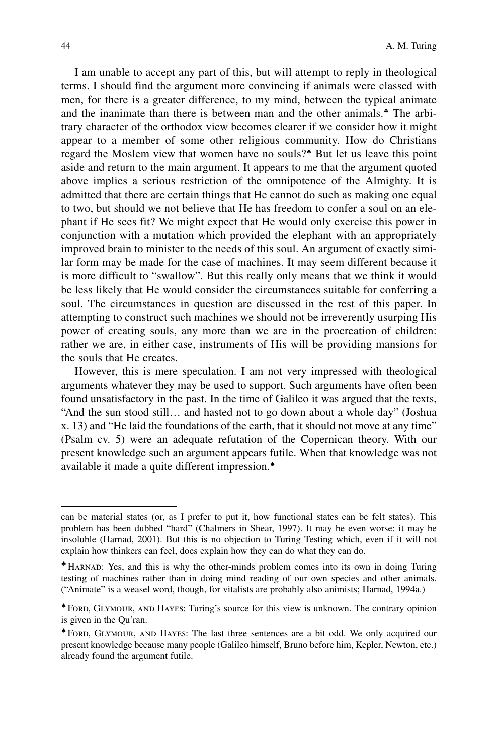I am unable to accept any part of this, but will attempt to reply in theological terms. I should find the argument more convincing if animals were classed with men, for there is a greater difference, to my mind, between the typical animate and the inanimate than there is between man and the other animals.<sup>\*</sup> The arbitrary character of the orthodox view becomes clearer if we consider how it might appear to a member of some other religious community. How do Christians regard the Moslem view that women have no souls?♠ But let us leave this point aside and return to the main argument. It appears to me that the argument quoted above implies a serious restriction of the omnipotence of the Almighty. It is admitted that there are certain things that He cannot do such as making one equal to two, but should we not believe that He has freedom to confer a soul on an elephant if He sees fit? We might expect that He would only exercise this power in conjunction with a mutation which provided the elephant with an appropriately improved brain to minister to the needs of this soul. An argument of exactly similar form may be made for the case of machines. It may seem different because it is more difficult to "swallow". But this really only means that we think it would be less likely that He would consider the circumstances suitable for conferring a soul. The circumstances in question are discussed in the rest of this paper. In attempting to construct such machines we should not be irreverently usurping His power of creating souls, any more than we are in the procreation of children: rather we are, in either case, instruments of His will be providing mansions for the souls that He creates.

However, this is mere speculation. I am not very impressed with theological arguments whatever they may be used to support. Such arguments have often been found unsatisfactory in the past. In the time of Galileo it was argued that the texts, "And the sun stood still… and hasted not to go down about a whole day" (Joshua x. 13) and "He laid the foundations of the earth, that it should not move at any time" (Psalm cv. 5) were an adequate refutation of the Copernican theory. With our present knowledge such an argument appears futile. When that knowledge was not available it made a quite different impression.♠

can be material states (or, as I prefer to put it, how functional states can be felt states). This problem has been dubbed "hard" (Chalmers in Shear, 1997). It may be even worse: it may be insoluble (Harnad, 2001). But this is no objection to Turing Testing which, even if it will not explain how thinkers can feel, does explain how they can do what they can do.

<sup>♣</sup> Harnad: Yes, and this is why the other-minds problem comes into its own in doing Turing testing of machines rather than in doing mind reading of our own species and other animals. ("Animate" is a weasel word, though, for vitalists are probably also animists; Harnad, 1994a.)

<sup>♠</sup> Ford, Glymour, and Hayes: Turing's source for this view is unknown. The contrary opinion is given in the Qu'ran.

<sup>♠</sup> Ford, Glymour, and Hayes: The last three sentences are a bit odd. We only acquired our present knowledge because many people (Galileo himself, Bruno before him, Kepler, Newton, etc.) already found the argument futile.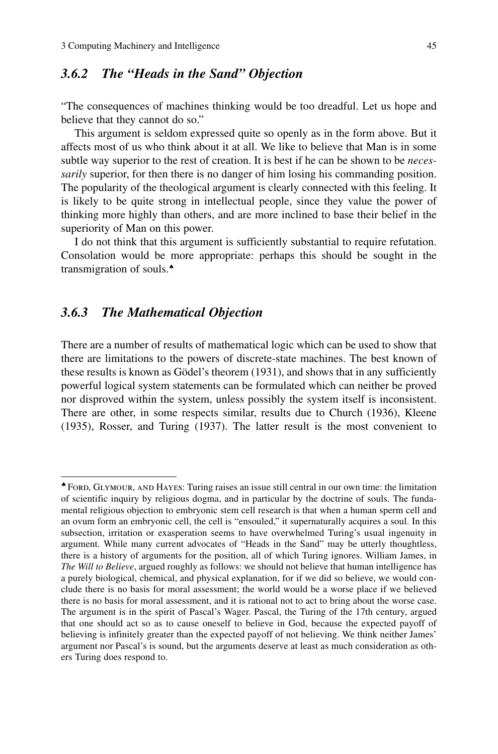#### *3.6.2 The "Heads in the Sand" Objection*

"The consequences of machines thinking would be too dreadful. Let us hope and believe that they cannot do so."

This argument is seldom expressed quite so openly as in the form above. But it affects most of us who think about it at all. We like to believe that Man is in some subtle way superior to the rest of creation. It is best if he can be shown to be *necessarily* superior, for then there is no danger of him losing his commanding position. The popularity of the theological argument is clearly connected with this feeling. It is likely to be quite strong in intellectual people, since they value the power of thinking more highly than others, and are more inclined to base their belief in the superiority of Man on this power.

I do not think that this argument is sufficiently substantial to require refutation. Consolation would be more appropriate: perhaps this should be sought in the transmigration of souls.♠

#### *3.6.3 The Mathematical Objection*

There are a number of results of mathematical logic which can be used to show that there are limitations to the powers of discrete-state machines. The best known of these results is known as Gödel's theorem (1931), and shows that in any sufficiently powerful logical system statements can be formulated which can neither be proved nor disproved within the system, unless possibly the system itself is inconsistent. There are other, in some respects similar, results due to Church (1936), Kleene (1935), Rosser, and Turing (1937). The latter result is the most convenient to

<sup>♠</sup> Ford, Glymour, and Hayes: Turing raises an issue still central in our own time: the limitation of scientific inquiry by religious dogma, and in particular by the doctrine of souls. The fundamental religious objection to embryonic stem cell research is that when a human sperm cell and an ovum form an embryonic cell, the cell is "ensouled," it supernaturally acquires a soul. In this subsection, irritation or exasperation seems to have overwhelmed Turing's usual ingenuity in argument. While many current advocates of "Heads in the Sand" may be utterly thoughtless, there is a history of arguments for the position, all of which Turing ignores. William James, in *The Will to Believe*, argued roughly as follows: we should not believe that human intelligence has a purely biological, chemical, and physical explanation, for if we did so believe, we would conclude there is no basis for moral assessment; the world would be a worse place if we believed there is no basis for moral assessment, and it is rational not to act to bring about the worse case. The argument is in the spirit of Pascal's Wager. Pascal, the Turing of the 17th century, argued that one should act so as to cause oneself to believe in God, because the expected payoff of believing is infinitely greater than the expected payoff of not believing. We think neither James' argument nor Pascal's is sound, but the arguments deserve at least as much consideration as others Turing does respond to.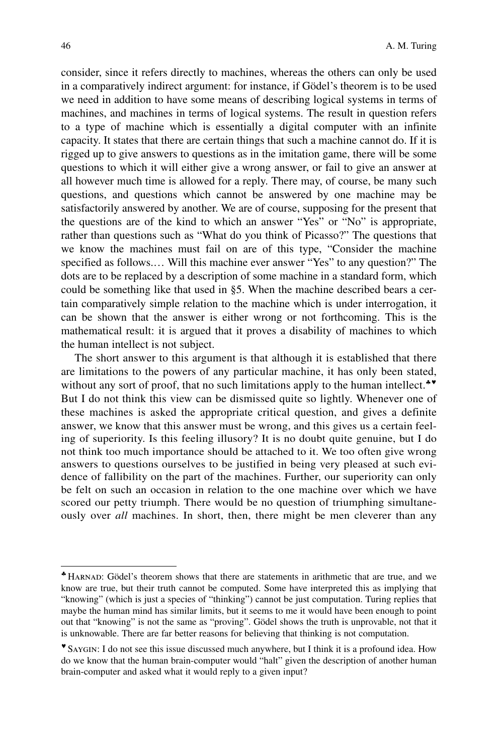consider, since it refers directly to machines, whereas the others can only be used in a comparatively indirect argument: for instance, if Gödel's theorem is to be used we need in addition to have some means of describing logical systems in terms of machines, and machines in terms of logical systems. The result in question refers to a type of machine which is essentially a digital computer with an infinite capacity. It states that there are certain things that such a machine cannot do. If it is rigged up to give answers to questions as in the imitation game, there will be some questions to which it will either give a wrong answer, or fail to give an answer at all however much time is allowed for a reply. There may, of course, be many such questions, and questions which cannot be answered by one machine may be satisfactorily answered by another. We are of course, supposing for the present that the questions are of the kind to which an answer "Yes" or "No" is appropriate, rather than questions such as "What do you think of Picasso?" The questions that we know the machines must fail on are of this type, "Consider the machine specified as follows.… Will this machine ever answer "Yes" to any question?" The dots are to be replaced by a description of some machine in a standard form, which could be something like that used in §5. When the machine described bears a certain comparatively simple relation to the machine which is under interrogation, it can be shown that the answer is either wrong or not forthcoming. This is the mathematical result: it is argued that it proves a disability of machines to which the human intellect is not subject.

The short answer to this argument is that although it is established that there are limitations to the powers of any particular machine, it has only been stated, without any sort of proof, that no such limitations apply to the human intellect.<sup>\*\*</sup> But I do not think this view can be dismissed quite so lightly. Whenever one of these machines is asked the appropriate critical question, and gives a definite answer, we know that this answer must be wrong, and this gives us a certain feeling of superiority. Is this feeling illusory? It is no doubt quite genuine, but I do not think too much importance should be attached to it. We too often give wrong answers to questions ourselves to be justified in being very pleased at such evidence of fallibility on the part of the machines. Further, our superiority can only be felt on such an occasion in relation to the one machine over which we have scored our petty triumph. There would be no question of triumphing simultaneously over *all* machines. In short, then, there might be men cleverer than any

<sup>♣</sup> Harnad: Gödel's theorem shows that there are statements in arithmetic that are true, and we know are true, but their truth cannot be computed. Some have interpreted this as implying that "knowing" (which is just a species of "thinking") cannot be just computation. Turing replies that maybe the human mind has similar limits, but it seems to me it would have been enough to point out that "knowing" is not the same as "proving". Gödel shows the truth is unprovable, not that it is unknowable. There are far better reasons for believing that thinking is not computation.

<sup>♥</sup> Saygin: I do not see this issue discussed much anywhere, but I think it is a profound idea. How do we know that the human brain-computer would "halt" given the description of another human brain-computer and asked what it would reply to a given input?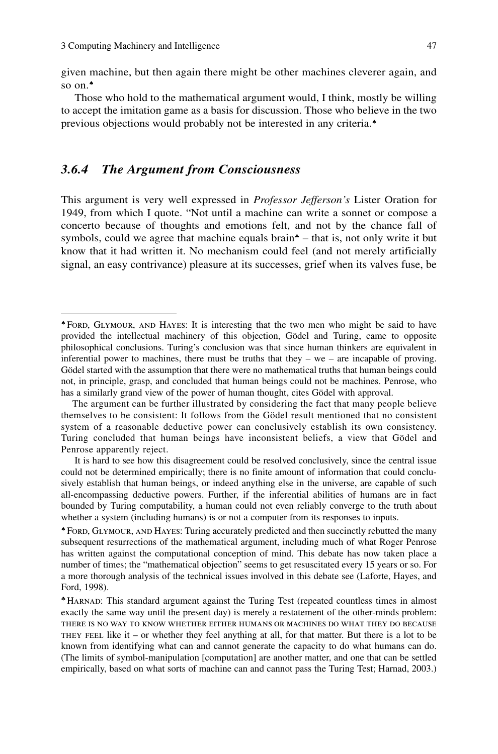given machine, but then again there might be other machines cleverer again, and so on.♠

Those who hold to the mathematical argument would, I think, mostly be willing to accept the imitation game as a basis for discussion. Those who believe in the two previous objections would probably not be interested in any criteria.♠

#### *3.6.4 The Argument from Consciousness*

This argument is very well expressed in *Professor Jefferson's* Lister Oration for 1949, from which I quote. "Not until a machine can write a sonnet or compose a concerto because of thoughts and emotions felt, and not by the chance fall of symbols, could we agree that machine equals brain $\hat{a}$  – that is, not only write it but know that it had written it. No mechanism could feel (and not merely artificially signal, an easy contrivance) pleasure at its successes, grief when its valves fuse, be

<sup>♠</sup> Ford, Glymour, and Hayes: It is interesting that the two men who might be said to have provided the intellectual machinery of this objection, Gödel and Turing, came to opposite philosophical conclusions. Turing's conclusion was that since human thinkers are equivalent in inferential power to machines, there must be truths that they  $-$  we  $-$  are incapable of proving. Gödel started with the assumption that there were no mathematical truths that human beings could not, in principle, grasp, and concluded that human beings could not be machines. Penrose, who has a similarly grand view of the power of human thought, cites Gödel with approval.

The argument can be further illustrated by considering the fact that many people believe themselves to be consistent: It follows from the Gödel result mentioned that no consistent system of a reasonable deductive power can conclusively establish its own consistency. Turing concluded that human beings have inconsistent beliefs, a view that Gödel and Penrose apparently reject.

It is hard to see how this disagreement could be resolved conclusively, since the central issue could not be determined empirically; there is no finite amount of information that could conclusively establish that human beings, or indeed anything else in the universe, are capable of such all-encompassing deductive powers. Further, if the inferential abilities of humans are in fact bounded by Turing computability, a human could not even reliably converge to the truth about whether a system (including humans) is or not a computer from its responses to inputs.

<sup>♠</sup> Ford, Glymour, and Hayes: Turing accurately predicted and then succinctly rebutted the many subsequent resurrections of the mathematical argument, including much of what Roger Penrose has written against the computational conception of mind. This debate has now taken place a number of times; the "mathematical objection" seems to get resuscitated every 15 years or so. For a more thorough analysis of the technical issues involved in this debate see (Laforte, Hayes, and Ford, 1998).

<sup>♣</sup> Harnad: This standard argument against the Turing Test (repeated countless times in almost exactly the same way until the present day) is merely a restatement of the other-minds problem: there is no way to know whether either humans or machines do what they do because THEY FEEL like it – or whether they feel anything at all, for that matter. But there is a lot to be known from identifying what can and cannot generate the capacity to do what humans can do. (The limits of symbol-manipulation [computation] are another matter, and one that can be settled empirically, based on what sorts of machine can and cannot pass the Turing Test; Harnad, 2003.)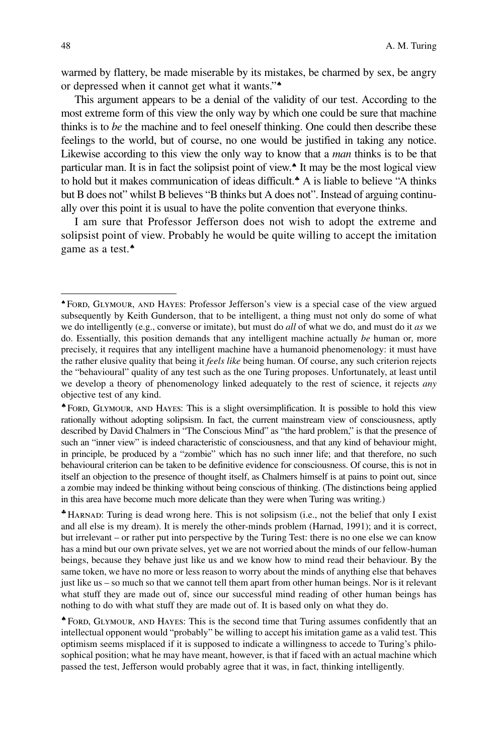warmed by flattery, be made miserable by its mistakes, be charmed by sex, be angry or depressed when it cannot get what it wants."♠

This argument appears to be a denial of the validity of our test. According to the most extreme form of this view the only way by which one could be sure that machine thinks is to *be* the machine and to feel oneself thinking. One could then describe these feelings to the world, but of course, no one would be justified in taking any notice. Likewise according to this view the only way to know that a *man* thinks is to be that particular man. It is in fact the solipsist point of view.♠ It may be the most logical view to hold but it makes communication of ideas difficult.♣ A is liable to believe "A thinks but B does not" whilst B believes "B thinks but A does not". Instead of arguing continually over this point it is usual to have the polite convention that everyone thinks.

I am sure that Professor Jefferson does not wish to adopt the extreme and solipsist point of view. Probably he would be quite willing to accept the imitation game as a test.♠

<sup>♠</sup> Ford, Glymour, and Hayes: Professor Jefferson's view is a special case of the view argued subsequently by Keith Gunderson, that to be intelligent, a thing must not only do some of what we do intelligently (e.g., converse or imitate), but must do *all* of what we do, and must do it *as* we do. Essentially, this position demands that any intelligent machine actually *be* human or, more precisely, it requires that any intelligent machine have a humanoid phenomenology: it must have the rather elusive quality that being it *feels like* being human. Of course, any such criterion rejects the "behavioural" quality of any test such as the one Turing proposes. Unfortunately, at least until we develop a theory of phenomenology linked adequately to the rest of science, it rejects *any* objective test of any kind.

<sup>♠</sup>Ford, Glymour, and Hayes: This is a slight oversimplification. It is possible to hold this view rationally without adopting solipsism. In fact, the current mainstream view of consciousness, aptly described by David Chalmers in "The Conscious Mind" as "the hard problem," is that the presence of such an "inner view" is indeed characteristic of consciousness, and that any kind of behaviour might, in principle, be produced by a "zombie" which has no such inner life; and that therefore, no such behavioural criterion can be taken to be definitive evidence for consciousness. Of course, this is not in itself an objection to the presence of thought itself, as Chalmers himself is at pains to point out, since a zombie may indeed be thinking without being conscious of thinking. (The distinctions being applied in this area have become much more delicate than they were when Turing was writing.)

<sup>♣</sup> Harnad: Turing is dead wrong here. This is not solipsism (i.e., not the belief that only I exist and all else is my dream). It is merely the other-minds problem (Harnad, 1991); and it is correct, but irrelevant – or rather put into perspective by the Turing Test: there is no one else we can know has a mind but our own private selves, yet we are not worried about the minds of our fellow-human beings, because they behave just like us and we know how to mind read their behaviour. By the same token, we have no more or less reason to worry about the minds of anything else that behaves just like us – so much so that we cannot tell them apart from other human beings. Nor is it relevant what stuff they are made out of, since our successful mind reading of other human beings has nothing to do with what stuff they are made out of. It is based only on what they do.

<sup>♠</sup> Ford, Glymour, and Hayes: This is the second time that Turing assumes confidently that an intellectual opponent would "probably" be willing to accept his imitation game as a valid test. This optimism seems misplaced if it is supposed to indicate a willingness to accede to Turing's philosophical position; what he may have meant, however, is that if faced with an actual machine which passed the test, Jefferson would probably agree that it was, in fact, thinking intelligently.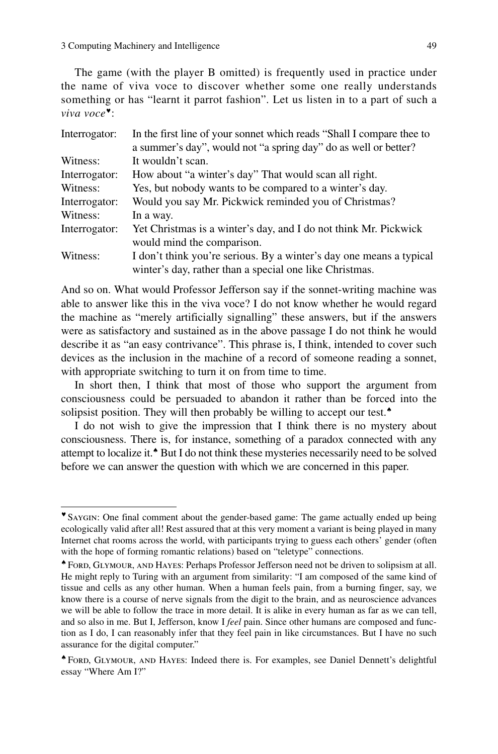3 Computing Machinery and Intelligence 49

The game (with the player B omitted) is frequently used in practice under the name of viva voce to discover whether some one really understands something or has "learnt it parrot fashion". Let us listen in to a part of such a *viva voce*♥:

| Interrogator: | In the first line of your sonnet which reads "Shall I compare thee to<br>a summer's day", would not "a spring day" do as well or better? |
|---------------|------------------------------------------------------------------------------------------------------------------------------------------|
|               |                                                                                                                                          |
| Witness:      | It wouldn't scan.                                                                                                                        |
| Interrogator: | How about "a winter's day" That would scan all right.                                                                                    |
| Witness:      | Yes, but nobody wants to be compared to a winter's day.                                                                                  |
| Interrogator: | Would you say Mr. Pickwick reminded you of Christmas?                                                                                    |
| Witness:      | In a way.                                                                                                                                |
| Interrogator: | Yet Christmas is a winter's day, and I do not think Mr. Pickwick                                                                         |
|               | would mind the comparison.                                                                                                               |
| Witness:      | I don't think you're serious. By a winter's day one means a typical                                                                      |
|               | winter's day, rather than a special one like Christmas.                                                                                  |

And so on. What would Professor Jefferson say if the sonnet-writing machine was able to answer like this in the viva voce? I do not know whether he would regard the machine as "merely artificially signalling" these answers, but if the answers were as satisfactory and sustained as in the above passage I do not think he would describe it as "an easy contrivance". This phrase is, I think, intended to cover such devices as the inclusion in the machine of a record of someone reading a sonnet, with appropriate switching to turn it on from time to time.

In short then, I think that most of those who support the argument from consciousness could be persuaded to abandon it rather than be forced into the solipsist position. They will then probably be willing to accept our test.<sup>●</sup>

I do not wish to give the impression that I think there is no mystery about consciousness. There is, for instance, something of a paradox connected with any attempt to localize it.♠ But I do not think these mysteries necessarily need to be solved before we can answer the question with which we are concerned in this paper.

<sup>♥</sup> Saygin: One final comment about the gender-based game: The game actually ended up being ecologically valid after all! Rest assured that at this very moment a variant is being played in many Internet chat rooms across the world, with participants trying to guess each others' gender (often with the hope of forming romantic relations) based on "teletype" connections.

<sup>♠</sup> Ford, Glymour, and Hayes: Perhaps Professor Jefferson need not be driven to solipsism at all. He might reply to Turing with an argument from similarity: "I am composed of the same kind of tissue and cells as any other human. When a human feels pain, from a burning finger, say, we know there is a course of nerve signals from the digit to the brain, and as neuroscience advances we will be able to follow the trace in more detail. It is alike in every human as far as we can tell, and so also in me. But I, Jefferson, know I *feel* pain. Since other humans are composed and function as I do, I can reasonably infer that they feel pain in like circumstances. But I have no such assurance for the digital computer."

<sup>♠</sup> Ford, Glymour, and Hayes: Indeed there is. For examples, see Daniel Dennett's delightful essay "Where Am I?"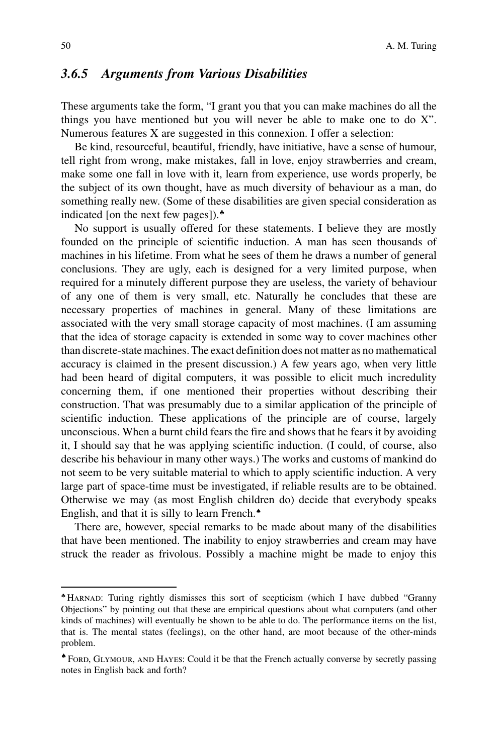#### *3.6.5 Arguments from Various Disabilities*

These arguments take the form, "I grant you that you can make machines do all the things you have mentioned but you will never be able to make one to do X". Numerous features  $X$  are suggested in this connexion. I offer a selection:

Be kind, resourceful, beautiful, friendly, have initiative, have a sense of humour, tell right from wrong, make mistakes, fall in love, enjoy strawberries and cream, make some one fall in love with it, learn from experience, use words properly, be the subject of its own thought, have as much diversity of behaviour as a man, do something really new. (Some of these disabilities are given special consideration as indicated [on the next few pages]).<sup>★</sup>

No support is usually offered for these statements. I believe they are mostly founded on the principle of scientific induction. A man has seen thousands of machines in his lifetime. From what he sees of them he draws a number of general conclusions. They are ugly, each is designed for a very limited purpose, when required for a minutely different purpose they are useless, the variety of behaviour of any one of them is very small, etc. Naturally he concludes that these are necessary properties of machines in general. Many of these limitations are associated with the very small storage capacity of most machines. (I am assuming that the idea of storage capacity is extended in some way to cover machines other than discrete-state machines. The exact definition does not matter as no mathematical accuracy is claimed in the present discussion.) A few years ago, when very little had been heard of digital computers, it was possible to elicit much incredulity concerning them, if one mentioned their properties without describing their construction. That was presumably due to a similar application of the principle of scientific induction. These applications of the principle are of course, largely unconscious. When a burnt child fears the fire and shows that he fears it by avoiding it, I should say that he was applying scientific induction. (I could, of course, also describe his behaviour in many other ways.) The works and customs of mankind do not seem to be very suitable material to which to apply scientific induction. A very large part of space-time must be investigated, if reliable results are to be obtained. Otherwise we may (as most English children do) decide that everybody speaks English, and that it is silly to learn French.♠

There are, however, special remarks to be made about many of the disabilities that have been mentioned. The inability to enjoy strawberries and cream may have struck the reader as frivolous. Possibly a machine might be made to enjoy this

<sup>♣</sup> Harnad: Turing rightly dismisses this sort of scepticism (which I have dubbed "Granny Objections" by pointing out that these are empirical questions about what computers (and other kinds of machines) will eventually be shown to be able to do. The performance items on the list, that is. The mental states (feelings), on the other hand, are moot because of the other-minds problem.

<sup>♠</sup> Ford, Glymour, and Hayes: Could it be that the French actually converse by secretly passing notes in English back and forth?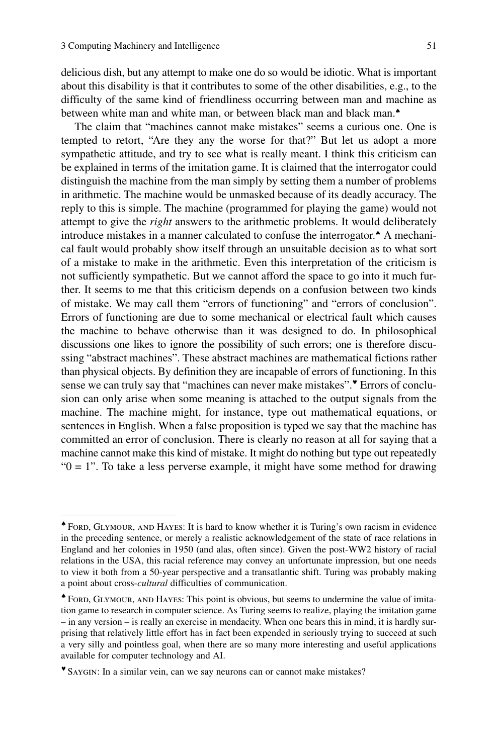delicious dish, but any attempt to make one do so would be idiotic. What is important about this disability is that it contributes to some of the other disabilities, e.g., to the difficulty of the same kind of friendliness occurring between man and machine as between white man and white man, or between black man and black man.<sup>★</sup>

The claim that "machines cannot make mistakes" seems a curious one. One is tempted to retort, "Are they any the worse for that?" But let us adopt a more sympathetic attitude, and try to see what is really meant. I think this criticism can be explained in terms of the imitation game. It is claimed that the interrogator could distinguish the machine from the man simply by setting them a number of problems in arithmetic. The machine would be unmasked because of its deadly accuracy. The reply to this is simple. The machine (programmed for playing the game) would not attempt to give the *right* answers to the arithmetic problems. It would deliberately introduce mistakes in a manner calculated to confuse the interrogator.♠ A mechanical fault would probably show itself through an unsuitable decision as to what sort of a mistake to make in the arithmetic. Even this interpretation of the criticism is not sufficiently sympathetic. But we cannot afford the space to go into it much further. It seems to me that this criticism depends on a confusion between two kinds of mistake. We may call them "errors of functioning" and "errors of conclusion". Errors of functioning are due to some mechanical or electrical fault which causes the machine to behave otherwise than it was designed to do. In philosophical discussions one likes to ignore the possibility of such errors; one is therefore discussing "abstract machines". These abstract machines are mathematical fictions rather than physical objects. By definition they are incapable of errors of functioning. In this sense we can truly say that "machines can never make mistakes"." Errors of conclusion can only arise when some meaning is attached to the output signals from the machine. The machine might, for instance, type out mathematical equations, or sentences in English. When a false proposition is typed we say that the machine has committed an error of conclusion. There is clearly no reason at all for saying that a machine cannot make this kind of mistake. It might do nothing but type out repeatedly " $0 = 1$ ". To take a less perverse example, it might have some method for drawing

<sup>♠</sup> Ford, Glymour, and Hayes: It is hard to know whether it is Turing's own racism in evidence in the preceding sentence, or merely a realistic acknowledgement of the state of race relations in England and her colonies in 1950 (and alas, often since). Given the post-WW2 history of racial relations in the USA, this racial reference may convey an unfortunate impression, but one needs to view it both from a 50-year perspective and a transatlantic shift. Turing was probably making a point about cross-*cultural* difficulties of communication.

<sup>♠</sup> Ford, Glymour, and Hayes: This point is obvious, but seems to undermine the value of imitation game to research in computer science. As Turing seems to realize, playing the imitation game – in any version – is really an exercise in mendacity. When one bears this in mind, it is hardly surprising that relatively little effort has in fact been expended in seriously trying to succeed at such a very silly and pointless goal, when there are so many more interesting and useful applications available for computer technology and AI.

<sup>♥</sup> Saygin: In a similar vein, can we say neurons can or cannot make mistakes?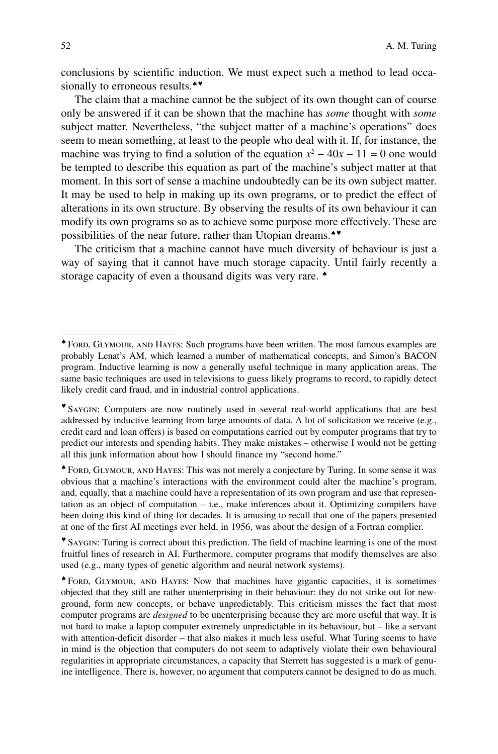conclusions by scientific induction. We must expect such a method to lead occasionally to erroneous results.<sup>★▼</sup>

The claim that a machine cannot be the subject of its own thought can of course only be answered if it can be shown that the machine has *some* thought with *some* subject matter. Nevertheless, "the subject matter of a machine's operations" does seem to mean something, at least to the people who deal with it. If, for instance, the machine was trying to find a solution of the equation  $x^2 - 40x - 11 = 0$  one would be tempted to describe this equation as part of the machine's subject matter at that moment. In this sort of sense a machine undoubtedly can be its own subject matter. It may be used to help in making up its own programs, or to predict the effect of alterations in its own structure. By observing the results of its own behaviour it can modify its own programs so as to achieve some purpose more effectively. These are possibilities of the near future, rather than Utopian dreams.<sup>◆▼</sup>

The criticism that a machine cannot have much diversity of behaviour is just a way of saying that it cannot have much storage capacity. Until fairly recently a storage capacity of even a thousand digits was very rare. <sup>◆</sup>

<sup>♠</sup> Ford, Glymour, and Hayes: Such programs have been written. The most famous examples are probably Lenat's AM, which learned a number of mathematical concepts, and Simon's BACON program. Inductive learning is now a generally useful technique in many application areas. The same basic techniques are used in televisions to guess likely programs to record, to rapidly detect likely credit card fraud, and in industrial control applications.

<sup>♥</sup> Saygin: Computers are now routinely used in several real-world applications that are best addressed by inductive learning from large amounts of data. A lot of solicitation we receive (e.g., credit card and loan offers) is based on computations carried out by computer programs that try to predict our interests and spending habits. They make mistakes – otherwise I would not be getting all this junk information about how I should finance my "second home."

<sup>♠</sup> Ford, Glymour, and Hayes: This was not merely a conjecture by Turing. In some sense it was obvious that a machine's interactions with the environment could alter the machine's program, and, equally, that a machine could have a representation of its own program and use that representation as an object of computation – i.e., make inferences about it. Optimizing compilers have been doing this kind of thing for decades. It is amusing to recall that one of the papers presented at one of the first AI meetings ever held, in 1956, was about the design of a Fortran complier.

<sup>♥</sup> Saygin: Turing is correct about this prediction. The field of machine learning is one of the most fruitful lines of research in AI. Furthermore, computer programs that modify themselves are also used (e.g., many types of genetic algorithm and neural network systems).

<sup>♠</sup> Ford, Glymour, and Hayes: Now that machines have gigantic capacities, it is sometimes objected that they still are rather unenterprising in their behaviour: they do not strike out for newground, form new concepts, or behave unpredictably. This criticism misses the fact that most computer programs are *designed* to be unenterprising because they are more useful that way. It is not hard to make a laptop computer extremely unpredictable in its behaviour, but – like a servant with attention-deficit disorder – that also makes it much less useful. What Turing seems to have in mind is the objection that computers do not seem to adaptively violate their own behavioural regularities in appropriate circumstances, a capacity that Sterrett has suggested is a mark of genuine intelligence. There is, however, no argument that computers cannot be designed to do as much.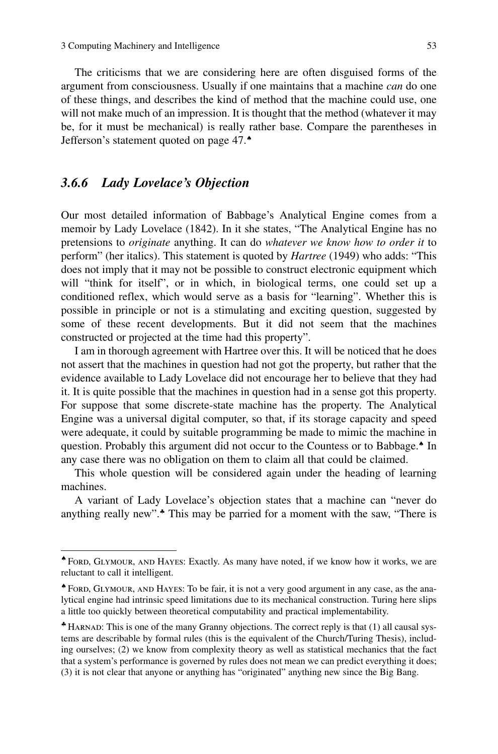The criticisms that we are considering here are often disguised forms of the argument from consciousness. Usually if one maintains that a machine *can* do one of these things, and describes the kind of method that the machine could use, one will not make much of an impression. It is thought that the method (whatever it may be, for it must be mechanical) is really rather base. Compare the parentheses in Jefferson's statement quoted on page 47.♠

#### *3.6.6 Lady Lovelace's Objection*

Our most detailed information of Babbage's Analytical Engine comes from a memoir by Lady Lovelace (1842). In it she states, "The Analytical Engine has no pretensions to *originate* anything. It can do *whatever we know how to order it* to perform" (her italics). This statement is quoted by *Hartree* (1949) who adds: "This does not imply that it may not be possible to construct electronic equipment which will "think for itself", or in which, in biological terms, one could set up a conditioned reflex, which would serve as a basis for "learning". Whether this is possible in principle or not is a stimulating and exciting question, suggested by some of these recent developments. But it did not seem that the machines constructed or projected at the time had this property".

I am in thorough agreement with Hartree over this. It will be noticed that he does not assert that the machines in question had not got the property, but rather that the evidence available to Lady Lovelace did not encourage her to believe that they had it. It is quite possible that the machines in question had in a sense got this property. For suppose that some discrete-state machine has the property. The Analytical Engine was a universal digital computer, so that, if its storage capacity and speed were adequate, it could by suitable programming be made to mimic the machine in question. Probably this argument did not occur to the Countess or to Babbage.♠ In any case there was no obligation on them to claim all that could be claimed.

This whole question will be considered again under the heading of learning machines.

A variant of Lady Lovelace's objection states that a machine can "never do anything really new".<sup>\*</sup> This may be parried for a moment with the saw, "There is

<sup>♠</sup> Ford, Glymour, and Hayes: Exactly. As many have noted, if we know how it works, we are reluctant to call it intelligent.

<sup>♠</sup> Ford, Glymour, and Hayes: To be fair, it is not a very good argument in any case, as the analytical engine had intrinsic speed limitations due to its mechanical construction. Turing here slips a little too quickly between theoretical computability and practical implementability.

<sup>♣</sup> Harnad: This is one of the many Granny objections. The correct reply is that (1) all causal systems are describable by formal rules (this is the equivalent of the Church/Turing Thesis), including ourselves; (2) we know from complexity theory as well as statistical mechanics that the fact that a system's performance is governed by rules does not mean we can predict everything it does; (3) it is not clear that anyone or anything has "originated" anything new since the Big Bang.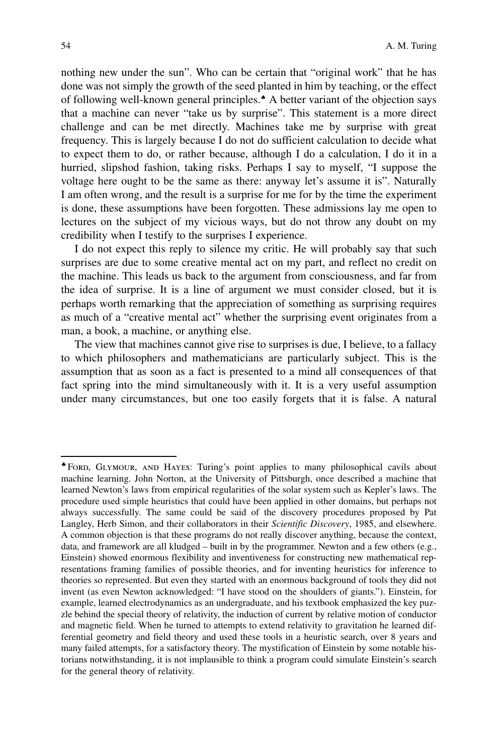nothing new under the sun". Who can be certain that "original work" that he has done was not simply the growth of the seed planted in him by teaching, or the effect of following well-known general principles.♠ A better variant of the objection says that a machine can never "take us by surprise". This statement is a more direct challenge and can be met directly. Machines take me by surprise with great frequency. This is largely because I do not do sufficient calculation to decide what to expect them to do, or rather because, although I do a calculation, I do it in a hurried, slipshod fashion, taking risks. Perhaps I say to myself, "I suppose the voltage here ought to be the same as there: anyway let's assume it is". Naturally I am often wrong, and the result is a surprise for me for by the time the experiment is done, these assumptions have been forgotten. These admissions lay me open to lectures on the subject of my vicious ways, but do not throw any doubt on my credibility when I testify to the surprises I experience.

I do not expect this reply to silence my critic. He will probably say that such surprises are due to some creative mental act on my part, and reflect no credit on the machine. This leads us back to the argument from consciousness, and far from the idea of surprise. It is a line of argument we must consider closed, but it is perhaps worth remarking that the appreciation of something as surprising requires as much of a "creative mental act" whether the surprising event originates from a man, a book, a machine, or anything else.

The view that machines cannot give rise to surprises is due, I believe, to a fallacy to which philosophers and mathematicians are particularly subject. This is the assumption that as soon as a fact is presented to a mind all consequences of that fact spring into the mind simultaneously with it. It is a very useful assumption under many circumstances, but one too easily forgets that it is false. A natural

<sup>♠</sup> Ford, Glymour, and Hayes: Turing's point applies to many philosophical cavils about machine learning. John Norton, at the University of Pittsburgh, once described a machine that learned Newton's laws from empirical regularities of the solar system such as Kepler's laws. The procedure used simple heuristics that could have been applied in other domains, but perhaps not always successfully. The same could be said of the discovery procedures proposed by Pat Langley, Herb Simon, and their collaborators in their *Scientific Discovery*, 1985, and elsewhere. A common objection is that these programs do not really discover anything, because the context, data, and framework are all kludged – built in by the programmer. Newton and a few others (e.g., Einstein) showed enormous flexibility and inventiveness for constructing new mathematical representations framing families of possible theories, and for inventing heuristics for inference to theories so represented. But even they started with an enormous background of tools they did not invent (as even Newton acknowledged: "I have stood on the shoulders of giants."). Einstein, for example, learned electrodynamics as an undergraduate, and his textbook emphasized the key puzzle behind the special theory of relativity, the induction of current by relative motion of conductor and magnetic field. When he turned to attempts to extend relativity to gravitation he learned differential geometry and field theory and used these tools in a heuristic search, over 8 years and many failed attempts, for a satisfactory theory. The mystification of Einstein by some notable historians notwithstanding, it is not implausible to think a program could simulate Einstein's search for the general theory of relativity.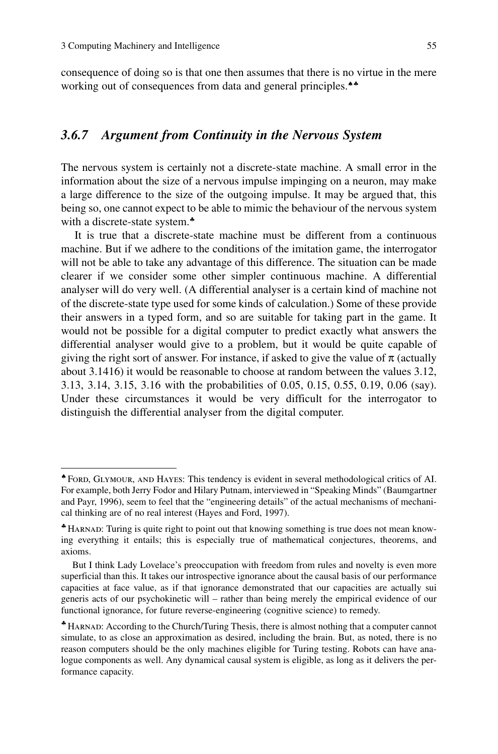consequence of doing so is that one then assumes that there is no virtue in the mere working out of consequences from data and general principles.<sup>◆▲</sup>

#### *3.6.7 Argument from Continuity in the Nervous System*

The nervous system is certainly not a discrete-state machine. A small error in the information about the size of a nervous impulse impinging on a neuron, may make a large difference to the size of the outgoing impulse. It may be argued that, this being so, one cannot expect to be able to mimic the behaviour of the nervous system with a discrete-state system.<sup>\*</sup>

It is true that a discrete-state machine must be different from a continuous machine. But if we adhere to the conditions of the imitation game, the interrogator will not be able to take any advantage of this difference. The situation can be made clearer if we consider some other simpler continuous machine. A differential analyser will do very well. (A differential analyser is a certain kind of machine not of the discrete-state type used for some kinds of calculation.) Some of these provide their answers in a typed form, and so are suitable for taking part in the game. It would not be possible for a digital computer to predict exactly what answers the differential analyser would give to a problem, but it would be quite capable of giving the right sort of answer. For instance, if asked to give the value of  $\pi$  (actually about 3.1416) it would be reasonable to choose at random between the values 3.12, 3.13, 3.14, 3.15, 3.16 with the probabilities of 0.05, 0.15, 0.55, 0.19, 0.06 (say). Under these circumstances it would be very difficult for the interrogator to distinguish the differential analyser from the digital computer.

<sup>♠</sup> Ford, Glymour, and Hayes: This tendency is evident in several methodological critics of AI. For example, both Jerry Fodor and Hilary Putnam, interviewed in "Speaking Minds" (Baumgartner and Payr, 1996), seem to feel that the "engineering details" of the actual mechanisms of mechanical thinking are of no real interest (Hayes and Ford, 1997).

<sup>♣</sup> Harnad: Turing is quite right to point out that knowing something is true does not mean knowing everything it entails; this is especially true of mathematical conjectures, theorems, and axioms.

But I think Lady Lovelace's preoccupation with freedom from rules and novelty is even more superficial than this. It takes our introspective ignorance about the causal basis of our performance capacities at face value, as if that ignorance demonstrated that our capacities are actually sui generis acts of our psychokinetic will – rather than being merely the empirical evidence of our functional ignorance, for future reverse-engineering (cognitive science) to remedy.

<sup>♣</sup> Harnad: According to the Church/Turing Thesis, there is almost nothing that a computer cannot simulate, to as close an approximation as desired, including the brain. But, as noted, there is no reason computers should be the only machines eligible for Turing testing. Robots can have analogue components as well. Any dynamical causal system is eligible, as long as it delivers the performance capacity.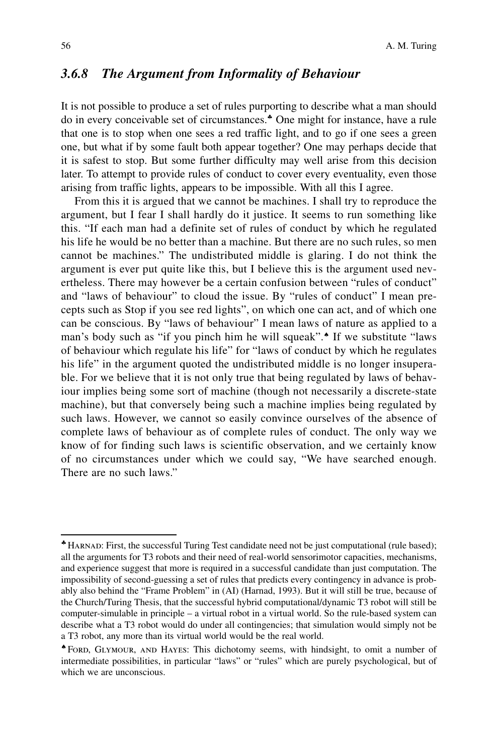## *3.6.8 The Argument from Informality of Behaviour*

It is not possible to produce a set of rules purporting to describe what a man should do in every conceivable set of circumstances.♣ One might for instance, have a rule that one is to stop when one sees a red traffic light, and to go if one sees a green one, but what if by some fault both appear together? One may perhaps decide that it is safest to stop. But some further difficulty may well arise from this decision later. To attempt to provide rules of conduct to cover every eventuality, even those arising from traffic lights, appears to be impossible. With all this I agree.

From this it is argued that we cannot be machines. I shall try to reproduce the argument, but I fear I shall hardly do it justice. It seems to run something like this. "If each man had a definite set of rules of conduct by which he regulated his life he would be no better than a machine. But there are no such rules, so men cannot be machines." The undistributed middle is glaring. I do not think the argument is ever put quite like this, but I believe this is the argument used nevertheless. There may however be a certain confusion between "rules of conduct" and "laws of behaviour" to cloud the issue. By "rules of conduct" I mean precepts such as Stop if you see red lights", on which one can act, and of which one can be conscious. By "laws of behaviour" I mean laws of nature as applied to a man's body such as "if you pinch him he will squeak".♠ If we substitute "laws of behaviour which regulate his life" for "laws of conduct by which he regulates his life" in the argument quoted the undistributed middle is no longer insuperable. For we believe that it is not only true that being regulated by laws of behaviour implies being some sort of machine (though not necessarily a discrete-state machine), but that conversely being such a machine implies being regulated by such laws. However, we cannot so easily convince ourselves of the absence of complete laws of behaviour as of complete rules of conduct. The only way we know of for finding such laws is scientific observation, and we certainly know of no circumstances under which we could say, "We have searched enough. There are no such laws."

<sup>♣</sup> Harnad: First, the successful Turing Test candidate need not be just computational (rule based); all the arguments for T3 robots and their need of real-world sensorimotor capacities, mechanisms, and experience suggest that more is required in a successful candidate than just computation. The impossibility of second-guessing a set of rules that predicts every contingency in advance is probably also behind the "Frame Problem" in (AI) (Harnad, 1993). But it will still be true, because of the Church/Turing Thesis, that the successful hybrid computational/dynamic T3 robot will still be computer-simulable in principle – a virtual robot in a virtual world. So the rule-based system can describe what a T3 robot would do under all contingencies; that simulation would simply not be a T3 robot, any more than its virtual world would be the real world.

<sup>♠</sup> Ford, Glymour, and Hayes: This dichotomy seems, with hindsight, to omit a number of intermediate possibilities, in particular "laws" or "rules" which are purely psychological, but of which we are unconscious.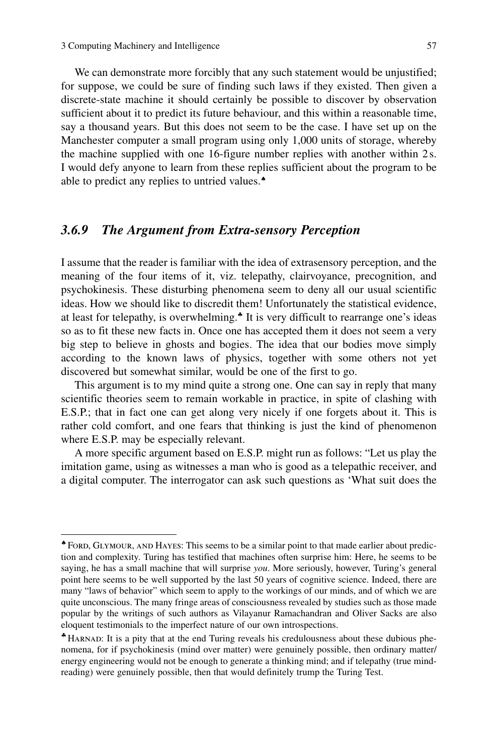We can demonstrate more forcibly that any such statement would be unjustified; for suppose, we could be sure of finding such laws if they existed. Then given a discrete-state machine it should certainly be possible to discover by observation sufficient about it to predict its future behaviour, and this within a reasonable time, say a thousand years. But this does not seem to be the case. I have set up on the Manchester computer a small program using only 1,000 units of storage, whereby the machine supplied with one 16-figure number replies with another within 2 s. I would defy anyone to learn from these replies sufficient about the program to be able to predict any replies to untried values.♠

#### *3.6.9 The Argument from Extra-sensory Perception*

I assume that the reader is familiar with the idea of extrasensory perception, and the meaning of the four items of it, viz. telepathy, clairvoyance, precognition, and psychokinesis. These disturbing phenomena seem to deny all our usual scientific ideas. How we should like to discredit them! Unfortunately the statistical evidence, at least for telepathy, is overwhelming.♣ It is very difficult to rearrange one's ideas so as to fit these new facts in. Once one has accepted them it does not seem a very big step to believe in ghosts and bogies. The idea that our bodies move simply according to the known laws of physics, together with some others not yet discovered but somewhat similar, would be one of the first to go.

This argument is to my mind quite a strong one. One can say in reply that many scientific theories seem to remain workable in practice, in spite of clashing with E.S.P.; that in fact one can get along very nicely if one forgets about it. This is rather cold comfort, and one fears that thinking is just the kind of phenomenon where E.S.P. may be especially relevant.

A more specific argument based on E.S.P. might run as follows: "Let us play the imitation game, using as witnesses a man who is good as a telepathic receiver, and a digital computer. The interrogator can ask such questions as 'What suit does the

<sup>♠</sup> Ford, Glymour, and Hayes: This seems to be a similar point to that made earlier about prediction and complexity. Turing has testified that machines often surprise him: Here, he seems to be saying, he has a small machine that will surprise *you*. More seriously, however, Turing's general point here seems to be well supported by the last 50 years of cognitive science. Indeed, there are many "laws of behavior" which seem to apply to the workings of our minds, and of which we are quite unconscious. The many fringe areas of consciousness revealed by studies such as those made popular by the writings of such authors as Vilayanur Ramachandran and Oliver Sacks are also eloquent testimonials to the imperfect nature of our own introspections.

<sup>♣</sup> Harnad: It is a pity that at the end Turing reveals his credulousness about these dubious phenomena, for if psychokinesis (mind over matter) were genuinely possible, then ordinary matter/ energy engineering would not be enough to generate a thinking mind; and if telepathy (true mindreading) were genuinely possible, then that would definitely trump the Turing Test.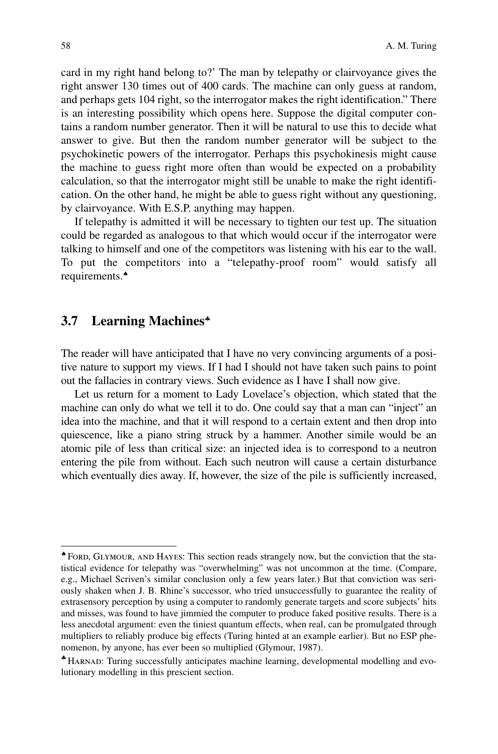card in my right hand belong to?' The man by telepathy or clairvoyance gives the right answer 130 times out of 400 cards. The machine can only guess at random, and perhaps gets 104 right, so the interrogator makes the right identification." There is an interesting possibility which opens here. Suppose the digital computer contains a random number generator. Then it will be natural to use this to decide what answer to give. But then the random number generator will be subject to the psychokinetic powers of the interrogator. Perhaps this psychokinesis might cause the machine to guess right more often than would be expected on a probability calculation, so that the interrogator might still be unable to make the right identification. On the other hand, he might be able to guess right without any questioning, by clairvoyance. With E.S.P. anything may happen.

If telepathy is admitted it will be necessary to tighten our test up. The situation could be regarded as analogous to that which would occur if the interrogator were talking to himself and one of the competitors was listening with his ear to the wall. To put the competitors into a "telepathy-proof room" would satisfy all requirements.♠

# **3.7 Learning Machines**♣

The reader will have anticipated that I have no very convincing arguments of a positive nature to support my views. If I had I should not have taken such pains to point out the fallacies in contrary views. Such evidence as I have I shall now give.

Let us return for a moment to Lady Lovelace's objection, which stated that the machine can only do what we tell it to do. One could say that a man can "inject" an idea into the machine, and that it will respond to a certain extent and then drop into quiescence, like a piano string struck by a hammer. Another simile would be an atomic pile of less than critical size: an injected idea is to correspond to a neutron entering the pile from without. Each such neutron will cause a certain disturbance which eventually dies away. If, however, the size of the pile is sufficiently increased,

<sup>♠</sup> Ford, Glymour, and Hayes: This section reads strangely now, but the conviction that the statistical evidence for telepathy was "overwhelming" was not uncommon at the time. (Compare, e.g., Michael Scriven's similar conclusion only a few years later.) But that conviction was seriously shaken when J. B. Rhine's successor, who tried unsuccessfully to guarantee the reality of extrasensory perception by using a computer to randomly generate targets and score subjects' hits and misses, was found to have jimmied the computer to produce faked positive results. There is a less anecdotal argument: even the tiniest quantum effects, when real, can be promulgated through multipliers to reliably produce big effects (Turing hinted at an example earlier). But no ESP phenomenon, by anyone, has ever been so multiplied (Glymour, 1987).

<sup>♣</sup> Harnad: Turing successfully anticipates machine learning, developmental modelling and evolutionary modelling in this prescient section.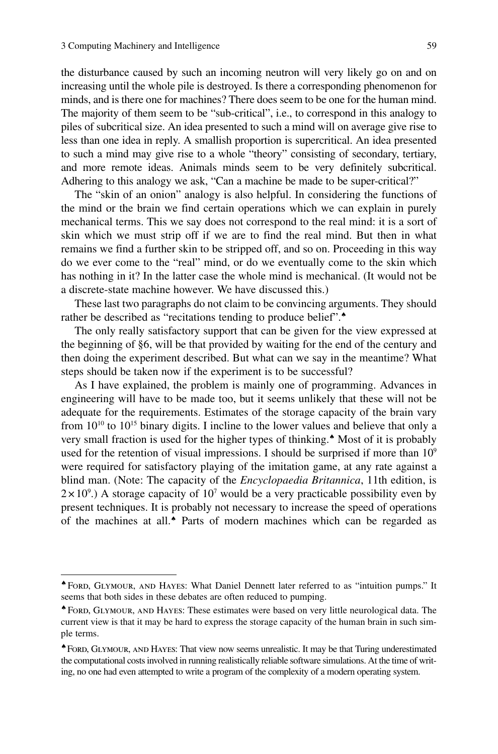the disturbance caused by such an incoming neutron will very likely go on and on increasing until the whole pile is destroyed. Is there a corresponding phenomenon for minds, and is there one for machines? There does seem to be one for the human mind. The majority of them seem to be "sub-critical", i.e., to correspond in this analogy to piles of subcritical size. An idea presented to such a mind will on average give rise to less than one idea in reply. A smallish proportion is supercritical. An idea presented to such a mind may give rise to a whole "theory" consisting of secondary, tertiary, and more remote ideas. Animals minds seem to be very definitely subcritical. Adhering to this analogy we ask, "Can a machine be made to be super-critical?"

The "skin of an onion" analogy is also helpful. In considering the functions of the mind or the brain we find certain operations which we can explain in purely mechanical terms. This we say does not correspond to the real mind: it is a sort of skin which we must strip off if we are to find the real mind. But then in what remains we find a further skin to be stripped off, and so on. Proceeding in this way do we ever come to the "real" mind, or do we eventually come to the skin which has nothing in it? In the latter case the whole mind is mechanical. (It would not be a discrete-state machine however. We have discussed this.)

These last two paragraphs do not claim to be convincing arguments. They should rather be described as "recitations tending to produce belief".♠

The only really satisfactory support that can be given for the view expressed at the beginning of §6, will be that provided by waiting for the end of the century and then doing the experiment described. But what can we say in the meantime? What steps should be taken now if the experiment is to be successful?

As I have explained, the problem is mainly one of programming. Advances in engineering will have to be made too, but it seems unlikely that these will not be adequate for the requirements. Estimates of the storage capacity of the brain vary from  $10^{10}$  to  $10^{15}$  binary digits. I incline to the lower values and believe that only a very small fraction is used for the higher types of thinking.♠ Most of it is probably used for the retention of visual impressions. I should be surprised if more than  $10^9$ were required for satisfactory playing of the imitation game, at any rate against a blind man. (Note: The capacity of the *Encyclopaedia Britannica*, 11th edition, is  $2 \times 10^9$ .) A storage capacity of  $10^7$  would be a very practicable possibility even by present techniques. It is probably not necessary to increase the speed of operations of the machines at all.♠ Parts of modern machines which can be regarded as

<sup>♠</sup> Ford, Glymour, and Hayes: What Daniel Dennett later referred to as "intuition pumps." It seems that both sides in these debates are often reduced to pumping.

<sup>♠</sup> Ford, Glymour, and Hayes: These estimates were based on very little neurological data. The current view is that it may be hard to express the storage capacity of the human brain in such simple terms.

<sup>♠</sup>Ford, Glymour, and Hayes: That view now seems unrealistic. It may be that Turing underestimated the computational costs involved in running realistically reliable software simulations. At the time of writing, no one had even attempted to write a program of the complexity of a modern operating system.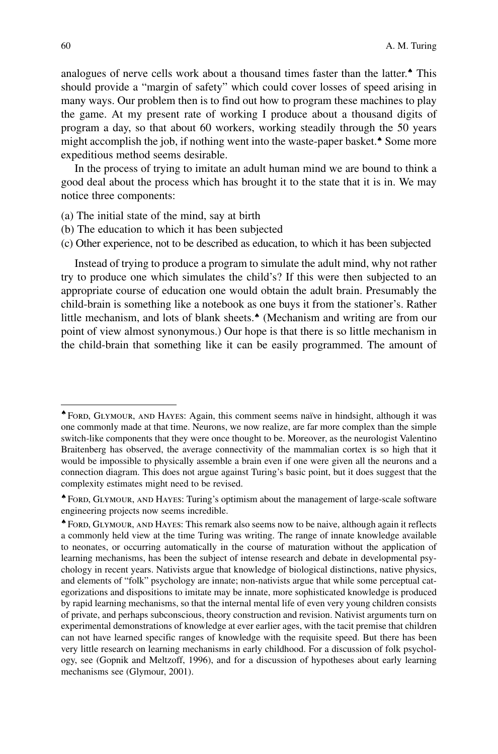analogues of nerve cells work about a thousand times faster than the latter.♠ This should provide a "margin of safety" which could cover losses of speed arising in many ways. Our problem then is to find out how to program these machines to play the game. At my present rate of working I produce about a thousand digits of program a day, so that about 60 workers, working steadily through the 50 years might accomplish the job, if nothing went into the waste-paper basket.♠ Some more expeditious method seems desirable.

In the process of trying to imitate an adult human mind we are bound to think a good deal about the process which has brought it to the state that it is in. We may notice three components:

- (a) The initial state of the mind, say at birth
- (b) The education to which it has been subjected
- (c) Other experience, not to be described as education, to which it has been subjected

Instead of trying to produce a program to simulate the adult mind, why not rather try to produce one which simulates the child's? If this were then subjected to an appropriate course of education one would obtain the adult brain. Presumably the child-brain is something like a notebook as one buys it from the stationer's. Rather little mechanism, and lots of blank sheets.♠ (Mechanism and writing are from our point of view almost synonymous.) Our hope is that there is so little mechanism in the child-brain that something like it can be easily programmed. The amount of

<sup>♠</sup> Ford, Glymour, and Hayes: Again, this comment seems naïve in hindsight, although it was one commonly made at that time. Neurons, we now realize, are far more complex than the simple switch-like components that they were once thought to be. Moreover, as the neurologist Valentino Braitenberg has observed, the average connectivity of the mammalian cortex is so high that it would be impossible to physically assemble a brain even if one were given all the neurons and a connection diagram. This does not argue against Turing's basic point, but it does suggest that the complexity estimates might need to be revised.

<sup>♠</sup> Ford, Glymour, and Hayes: Turing's optimism about the management of large-scale software engineering projects now seems incredible.

<sup>♠</sup> Ford, Glymour, and Hayes: This remark also seems now to be naive, although again it reflects a commonly held view at the time Turing was writing. The range of innate knowledge available to neonates, or occurring automatically in the course of maturation without the application of learning mechanisms, has been the subject of intense research and debate in developmental psychology in recent years. Nativists argue that knowledge of biological distinctions, native physics, and elements of "folk" psychology are innate; non-nativists argue that while some perceptual categorizations and dispositions to imitate may be innate, more sophisticated knowledge is produced by rapid learning mechanisms, so that the internal mental life of even very young children consists of private, and perhaps subconscious, theory construction and revision. Nativist arguments turn on experimental demonstrations of knowledge at ever earlier ages, with the tacit premise that children can not have learned specific ranges of knowledge with the requisite speed. But there has been very little research on learning mechanisms in early childhood. For a discussion of folk psychology, see (Gopnik and Meltzoff, 1996), and for a discussion of hypotheses about early learning mechanisms see (Glymour, 2001).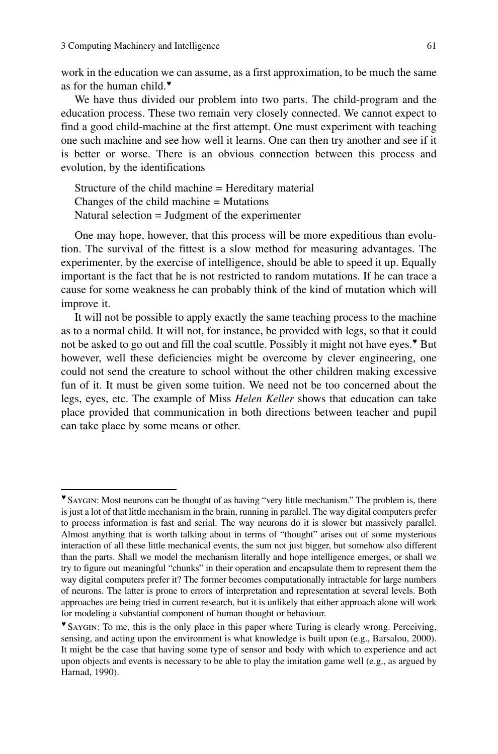work in the education we can assume, as a first approximation, to be much the same as for the human child.♥

We have thus divided our problem into two parts. The child-program and the education process. These two remain very closely connected. We cannot expect to find a good child-machine at the first attempt. One must experiment with teaching one such machine and see how well it learns. One can then try another and see if it is better or worse. There is an obvious connection between this process and evolution, by the identifications

Structure of the child machine = Hereditary material Changes of the child machine = Mutations Natural selection = Judgment of the experimenter

One may hope, however, that this process will be more expeditious than evolution. The survival of the fittest is a slow method for measuring advantages. The experimenter, by the exercise of intelligence, should be able to speed it up. Equally important is the fact that he is not restricted to random mutations. If he can trace a cause for some weakness he can probably think of the kind of mutation which will improve it.

It will not be possible to apply exactly the same teaching process to the machine as to a normal child. It will not, for instance, be provided with legs, so that it could not be asked to go out and fill the coal scuttle. Possibly it might not have eyes.♥ But however, well these deficiencies might be overcome by clever engineering, one could not send the creature to school without the other children making excessive fun of it. It must be given some tuition. We need not be too concerned about the legs, eyes, etc. The example of Miss *Helen Keller* shows that education can take place provided that communication in both directions between teacher and pupil can take place by some means or other.

<sup>♥</sup> Saygin: Most neurons can be thought of as having "very little mechanism." The problem is, there is just a lot of that little mechanism in the brain, running in parallel. The way digital computers prefer to process information is fast and serial. The way neurons do it is slower but massively parallel. Almost anything that is worth talking about in terms of "thought" arises out of some mysterious interaction of all these little mechanical events, the sum not just bigger, but somehow also different than the parts. Shall we model the mechanism literally and hope intelligence emerges, or shall we try to figure out meaningful "chunks" in their operation and encapsulate them to represent them the way digital computers prefer it? The former becomes computationally intractable for large numbers of neurons. The latter is prone to errors of interpretation and representation at several levels. Both approaches are being tried in current research, but it is unlikely that either approach alone will work for modeling a substantial component of human thought or behaviour.

<sup>♥</sup> Saygin: To me, this is the only place in this paper where Turing is clearly wrong. Perceiving, sensing, and acting upon the environment is what knowledge is built upon (e.g., Barsalou, 2000). It might be the case that having some type of sensor and body with which to experience and act upon objects and events is necessary to be able to play the imitation game well  $(e.g.,$  as argued by Harnad, 1990).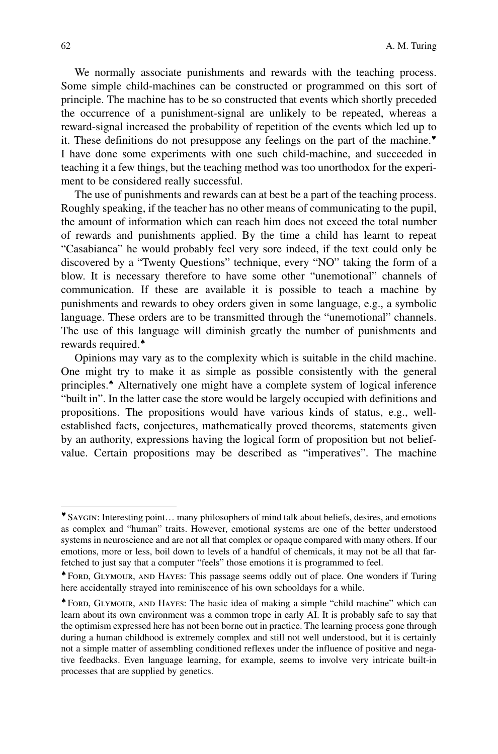We normally associate punishments and rewards with the teaching process. Some simple child-machines can be constructed or programmed on this sort of principle. The machine has to be so constructed that events which shortly preceded the occurrence of a punishment-signal are unlikely to be repeated, whereas a reward-signal increased the probability of repetition of the events which led up to it. These definitions do not presuppose any feelings on the part of the machine.♥ I have done some experiments with one such child-machine, and succeeded in teaching it a few things, but the teaching method was too unorthodox for the experiment to be considered really successful.

The use of punishments and rewards can at best be a part of the teaching process. Roughly speaking, if the teacher has no other means of communicating to the pupil, the amount of information which can reach him does not exceed the total number of rewards and punishments applied. By the time a child has learnt to repeat "Casabianca" he would probably feel very sore indeed, if the text could only be discovered by a "Twenty Questions" technique, every "NO" taking the form of a blow. It is necessary therefore to have some other "unemotional" channels of communication. If these are available it is possible to teach a machine by punishments and rewards to obey orders given in some language, e.g., a symbolic language. These orders are to be transmitted through the "unemotional" channels. The use of this language will diminish greatly the number of punishments and rewards required.♠

Opinions may vary as to the complexity which is suitable in the child machine. One might try to make it as simple as possible consistently with the general principles.♠ Alternatively one might have a complete system of logical inference "built in". In the latter case the store would be largely occupied with definitions and propositions. The propositions would have various kinds of status, e.g., well established facts, conjectures, mathematically proved theorems, statements given by an authority, expressions having the logical form of proposition but not beliefvalue. Certain propositions may be described as "imperatives". The machine

<sup>♥</sup> Saygin: Interesting point… many philosophers of mind talk about beliefs, desires, and emotions as complex and "human" traits. However, emotional systems are one of the better understood systems in neuroscience and are not all that complex or opaque compared with many others. If our emotions, more or less, boil down to levels of a handful of chemicals, it may not be all that farfetched to just say that a computer "feels" those emotions it is programmed to feel.

<sup>♠</sup> Ford, Glymour, and Hayes: This passage seems oddly out of place. One wonders if Turing here accidentally strayed into reminiscence of his own schooldays for a while.

<sup>♠</sup> Ford, Glymour, and Hayes: The basic idea of making a simple "child machine" which can learn about its own environment was a common trope in early AI. It is probably safe to say that the optimism expressed here has not been borne out in practice. The learning process gone through during a human childhood is extremely complex and still not well understood, but it is certainly not a simple matter of assembling conditioned reflexes under the influence of positive and negative feedbacks. Even language learning, for example, seems to involve very intricate built-in processes that are supplied by genetics.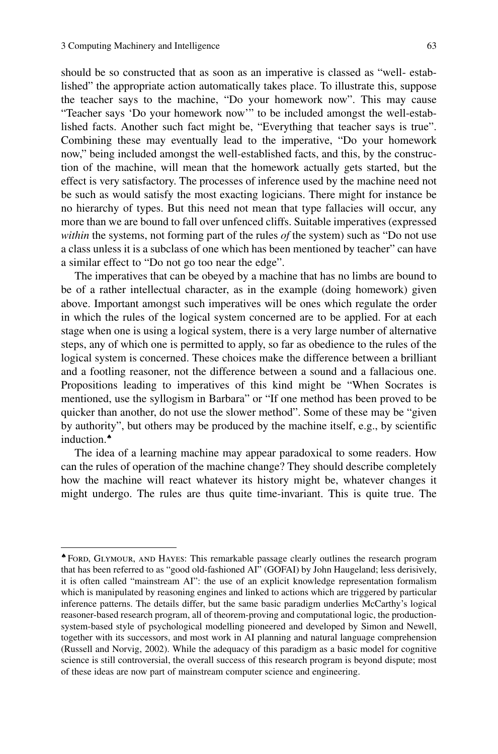should be so constructed that as soon as an imperative is classed as "well- established" the appropriate action automatically takes place. To illustrate this, suppose the teacher says to the machine, "Do your homework now". This may cause "Teacher says 'Do your homework now'" to be included amongst the well-established facts. Another such fact might be, "Everything that teacher says is true". Combining these may eventually lead to the imperative, "Do your homework now," being included amongst the well-established facts, and this, by the construction of the machine, will mean that the homework actually gets started, but the effect is very satisfactory. The processes of inference used by the machine need not be such as would satisfy the most exacting logicians. There might for instance be no hierarchy of types. But this need not mean that type fallacies will occur, any more than we are bound to fall over unfenced cliffs. Suitable imperatives (expressed *within* the systems, not forming part of the rules *of* the system) such as "Do not use a class unless it is a subclass of one which has been mentioned by teacher" can have a similar effect to "Do not go too near the edge".

The imperatives that can be obeyed by a machine that has no limbs are bound to be of a rather intellectual character, as in the example (doing homework) given above. Important amongst such imperatives will be ones which regulate the order in which the rules of the logical system concerned are to be applied. For at each stage when one is using a logical system, there is a very large number of alternative steps, any of which one is permitted to apply, so far as obedience to the rules of the logical system is concerned. These choices make the difference between a brilliant and a footling reasoner, not the difference between a sound and a fallacious one. Propositions leading to imperatives of this kind might be "When Socrates is mentioned, use the syllogism in Barbara" or "If one method has been proved to be quicker than another, do not use the slower method". Some of these may be "given by authority", but others may be produced by the machine itself, e.g., by scientific induction.♠

The idea of a learning machine may appear paradoxical to some readers. How can the rules of operation of the machine change? They should describe completely how the machine will react whatever its history might be, whatever changes it might undergo. The rules are thus quite time-invariant. This is quite true. The

<sup>♠</sup> Ford, Glymour, and Hayes: This remarkable passage clearly outlines the research program that has been referred to as "good old-fashioned AI" (GOFAI) by John Haugeland; less derisively, it is often called "mainstream AI": the use of an explicit knowledge representation formalism which is manipulated by reasoning engines and linked to actions which are triggered by particular inference patterns. The details differ, but the same basic paradigm underlies McCarthy's logical reasoner-based research program, all of theorem-proving and computational logic, the productionsystem-based style of psychological modelling pioneered and developed by Simon and Newell, together with its successors, and most work in AI planning and natural language comprehension (Russell and Norvig, 2002). While the adequacy of this paradigm as a basic model for cognitive science is still controversial, the overall success of this research program is beyond dispute; most of these ideas are now part of mainstream computer science and engineering.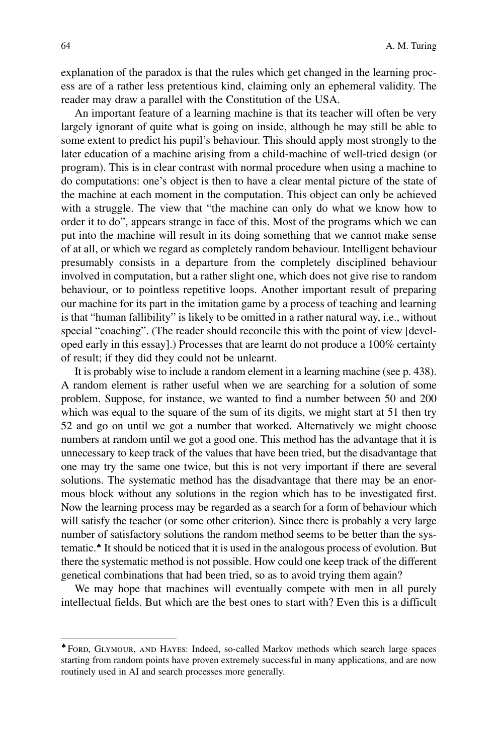explanation of the paradox is that the rules which get changed in the learning process are of a rather less pretentious kind, claiming only an ephemeral validity. The reader may draw a parallel with the Constitution of the USA.

An important feature of a learning machine is that its teacher will often be very largely ignorant of quite what is going on inside, although he may still be able to some extent to predict his pupil's behaviour. This should apply most strongly to the later education of a machine arising from a child-machine of well-tried design (or program). This is in clear contrast with normal procedure when using a machine to do computations: one's object is then to have a clear mental picture of the state of the machine at each moment in the computation. This object can only be achieved with a struggle. The view that "the machine can only do what we know how to order it to do", appears strange in face of this. Most of the programs which we can put into the machine will result in its doing something that we cannot make sense of at all, or which we regard as completely random behaviour. Intelligent behaviour presumably consists in a departure from the completely disciplined behaviour involved in computation, but a rather slight one, which does not give rise to random behaviour, or to pointless repetitive loops. Another important result of preparing our machine for its part in the imitation game by a process of teaching and learning is that "human fallibility" is likely to be omitted in a rather natural way, i.e., without special "coaching". (The reader should reconcile this with the point of view [developed early in this essay].) Processes that are learnt do not produce a 100% certainty of result; if they did they could not be unlearnt.

It is probably wise to include a random element in a learning machine (see p. 438). A random element is rather useful when we are searching for a solution of some problem. Suppose, for instance, we wanted to find a number between 50 and 200 which was equal to the square of the sum of its digits, we might start at 51 then try 52 and go on until we got a number that worked. Alternatively we might choose numbers at random until we got a good one. This method has the advantage that it is unnecessary to keep track of the values that have been tried, but the disadvantage that one may try the same one twice, but this is not very important if there are several solutions. The systematic method has the disadvantage that there may be an enormous block without any solutions in the region which has to be investigated first. Now the learning process may be regarded as a search for a form of behaviour which will satisfy the teacher (or some other criterion). Since there is probably a very large number of satisfactory solutions the random method seems to be better than the systematic.♠ It should be noticed that it is used in the analogous process of evolution. But there the systematic method is not possible. How could one keep track of the different genetical combinations that had been tried, so as to avoid trying them again?

We may hope that machines will eventually compete with men in all purely intellectual fields. But which are the best ones to start with? Even this is a difficult

<sup>♠</sup> Ford, Glymour, and Hayes: Indeed, so-called Markov methods which search large spaces starting from random points have proven extremely successful in many applications, and are now routinely used in AI and search processes more generally.